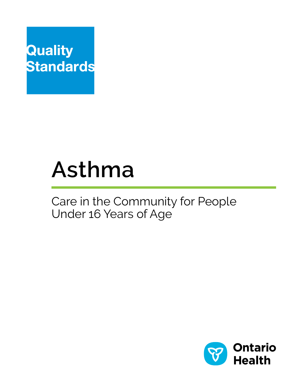

# **Asthma**

# Care in the Community for People Under 16 Years of Age

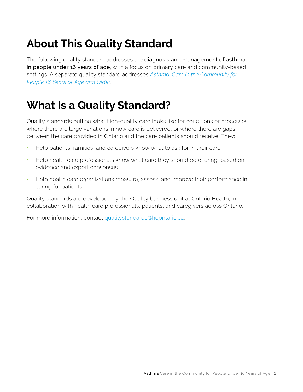# **About This Quality Standard**

The following quality standard addresses the diagnosis and management of asthma in people under 16 years of age, with a focus on primary care and community-based settings. A separate quality standard addresses *[Asthma: Care in the Community for](https://www.hqontario.ca/evidence-to-improve-care/quality-standards/view-all-quality-standards/asthma-in-adults)  [People 16 Years of Age and Older](https://www.hqontario.ca/evidence-to-improve-care/quality-standards/view-all-quality-standards/asthma-in-adults)*.

# **What Is a Quality Standard?**

Quality standards outline what high-quality care looks like for conditions or processes where there are large variations in how care is delivered, or where there are gaps between the care provided in Ontario and the care patients should receive. They:

- Help patients, families, and caregivers know what to ask for in their care
- Help health care professionals know what care they should be offering, based on evidence and expert consensus
- Help health care organizations measure, assess, and improve their performance in caring for patients

Quality standards are developed by the Quality business unit at Ontario Health, in collaboration with health care professionals, patients, and caregivers across Ontario.

For more information, contact [qualitystandards@hqontario.ca.](mailto:qualitystandards@hqontario.ca)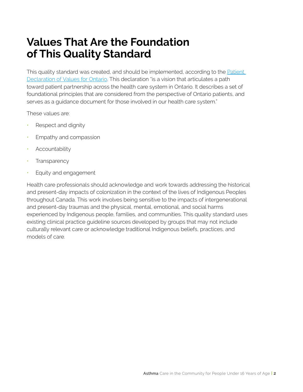# **Values That Are the Foundation of This Quality Standard**

This quality standard was created, and should be implemented, according to the [Patient](https://www.ontario.ca/page/patient-declaration-values-ontario)  [Declaration of Values for Ontario](https://www.ontario.ca/page/patient-declaration-values-ontario). This declaration "is a vision that articulates a path toward patient partnership across the health care system in Ontario. It describes a set of foundational principles that are considered from the perspective of Ontario patients, and serves as a guidance document for those involved in our health care system."

These values are:

- Respect and dignity
- Empathy and compassion
- **Accountability**
- **Transparency**
- Equity and engagement

Health care professionals should acknowledge and work towards addressing the historical and present-day impacts of colonization in the context of the lives of Indigenous Peoples throughout Canada. This work involves being sensitive to the impacts of intergenerational and present-day traumas and the physical, mental, emotional, and social harms experienced by Indigenous people, families, and communities. This quality standard uses existing clinical practice guideline sources developed by groups that may not include culturally relevant care or acknowledge traditional Indigenous beliefs, practices, and models of care.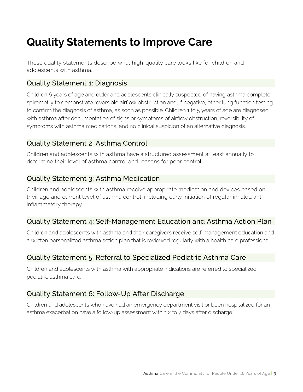# **Quality Statements to Improve Care**

These quality statements describe what high-quality care looks like for children and adolescents with asthma.

# Quality Statement 1: Diagnosis

Children 6 years of age and older and adolescents clinically suspected of having asthma complete spirometry to demonstrate reversible airflow obstruction and, if negative, other lung function testing to confirm the diagnosis of asthma, as soon as possible. Children 1 to 5 years of age are diagnosed with asthma after documentation of signs or symptoms of airflow obstruction, reversibility of symptoms with asthma medications, and no clinical suspicion of an alternative diagnosis.

# Quality Statement 2: Asthma Control

Children and adolescents with asthma have a structured assessment at least annually to determine their level of asthma control and reasons for poor control.

# Quality Statement 3: Asthma Medication

Children and adolescents with asthma receive appropriate medication and devices based on their age and current level of asthma control, including early initiation of regular inhaled antiinflammatory therapy.

# Quality Statement 4: Self-Management Education and Asthma Action Plan

Children and adolescents with asthma and their caregivers receive self-management education and a written personalized asthma action plan that is reviewed regularly with a health care professional.

# Quality Statement 5: Referral to Specialized Pediatric Asthma Care

Children and adolescents with asthma with appropriate indications are referred to specialized pediatric asthma care.

# Quality Statement 6: Follow-Up After Discharge

Children and adolescents who have had an emergency department visit or been hospitalized for an asthma exacerbation have a follow-up assessment within 2 to 7 days after discharge.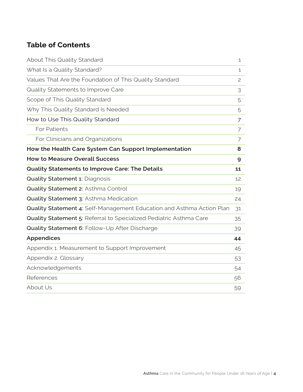# **Table of Contents**

| About This Quality Standard                                           | $\mathbf{1}$ |
|-----------------------------------------------------------------------|--------------|
| What Is a Quality Standard?                                           | 1            |
| Values That Are the Foundation of This Quality Standard               | 2            |
| Quality Statements to Improve Care                                    | 3            |
| Scope of This Quality Standard                                        | 5            |
| Why This Quality Standard Is Needed                                   | 5            |
| How to Use This Quality Standard                                      | 7            |
| For Patients                                                          | 7            |
| For Clinicians and Organizations                                      | 7            |
| How the Health Care System Can Support Implementation                 | 8            |
| <b>How to Measure Overall Success</b>                                 | 9            |
| Quality Statements to Improve Care: The Details                       | 11           |
| <b>Quality Statement 1: Diagnosis</b>                                 | 12           |
| Quality Statement 2: Asthma Control                                   | 19           |
| Quality Statement 3: Asthma Medication                                | 24           |
| Quality Statement 4: Self-Management Education and Asthma Action Plan | 31           |
| Quality Statement 5: Referral to Specialized Pediatric Asthma Care    | 35           |
| Quality Statement 6: Follow-Up After Discharge                        | 39           |
| <b>Appendices</b>                                                     | 44           |
| Appendix 1. Measurement to Support Improvement                        | 45           |
| Appendix 2. Glossary                                                  | 53           |
| Acknowledgements                                                      | 54           |
| References                                                            | 56           |
| About Us                                                              | 59           |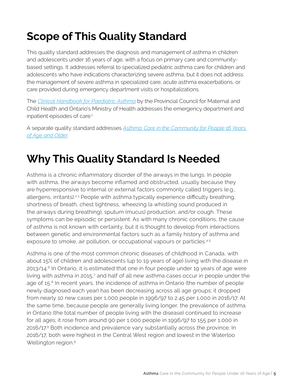# **Scope of This Quality Standard**

This quality standard addresses the diagnosis and management of asthma in children and adolescents under 16 years of age, with a focus on primary care and communitybased settings. It addresses referral to specialized pediatric asthma care for children and adolescents who have indications characterizing severe asthma, but it does not address the management of severe asthma in specialized care, acute asthma exacerbations, or care provided during emergency department visits or hospitalizations.

The *[Clinical Handbook for Paediatric Asthma](http://www.health.gov.on.ca/en/pro/programs/ecfa/docs/hb_paed_asthma.pdf)* by the Provincial Council for Maternal and Child Health and Ontario's Ministry of Health addresses the emergency department and inpatient episodes of care. $1$ 

A separate quality standard addresses *[Asthma: Care in the Community for People 16 Years](https://www.hqontario.ca/evidence-to-improve-care/quality-standards/view-all-quality-standards/asthma-in-adults)  [of Age and Older](https://www.hqontario.ca/evidence-to-improve-care/quality-standards/view-all-quality-standards/asthma-in-adults)*.

# **Why This Quality Standard Is Needed**

Asthma is a chronic inflammatory disorder of the airways in the lungs. In people with asthma, the airways become inflamed and obstructed, usually because they are hyperresponsive to internal or external factors commonly called triggers (e.g., allergens, irritants).<sup>2,3</sup> People with asthma typically experience difficulty breathing, shortness of breath, chest tightness, wheezing (a whistling sound produced in the airways during breathing), sputum (mucus) production, and/or cough. These symptoms can be episodic or persistent. As with many chronic conditions, the cause of asthma is not known with certainty, but it is thought to develop from interactions between genetic and environmental factors such as a family history of asthma and exposure to smoke, air pollution, or occupational vapours or particles.<sup>4,5</sup>

Asthma is one of the most common chronic diseases of childhood in Canada, with about 15% of children and adolescents (up to 19 years of age) living with the disease in 2013/14.<sup>6</sup> In Ontario, it is estimated that one in four people under 19 years of age were living with asthma in 2015,<sup>7</sup> and half of all new asthma cases occur in people under the age of 15.<sup>8</sup> In recent years, the incidence of asthma in Ontario (the number of people newly diagnosed each year) has been decreasing across all age groups; it dropped from nearly 10 new cases per 1,000 people in 1996/97 to 2.45 per 1,000 in 2016/17. At the same time, because people are generally living longer, the prevalence of asthma in Ontario (the total number of people living with the disease) continued to increase for all ages; it rose from around 90 per 1,000 people in 1996/97 to 155 per 1,000 in 2016/17.9 Both incidence and prevalence vary substantially across the province. In 2016/17, both were highest in the Central West region and lowest in the Waterloo Wellington region.<sup>9</sup>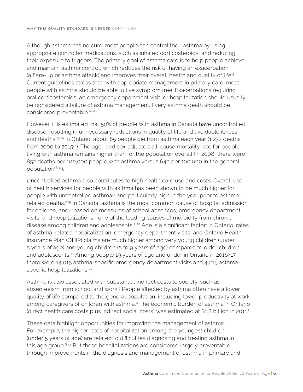Although asthma has no cure, most people can control their asthma by using appropriate controller medications, such as inhaled corticosteroids, and reducing their exposure to triggers. The primary goal of asthma care is to help people achieve and maintain asthma control, which reduces the risk of having an exacerbation (a flare-up or asthma attack) and improves their overall health and quality of life.<sup>3</sup> Current guidelines stress that, with appropriate management in primary care, most people with asthma should be able to live symptom free. Exacerbations requiring oral corticosteroids, an emergency department visit, or hospitalization should usually be considered a failure of asthma management. Every asthma death should be considered preventable.10-12

However, it is estimated that 50% of people with asthma in Canada have uncontrolled disease, resulting in unnecessary reductions in quality of life and avoidable illness and deaths.13,14 In Ontario, about 85 people die from asthma each year (1,272 deaths from 2000 to 2015<sup>15</sup>). The age- and sex-adjusted all-cause mortality rate for people living with asthma remains higher than for the population overall (in 2008, there were 852 deaths per 100,000 people with asthma versus 640 per 100,000 in the general population<sup>16,17</sup>).

Uncontrolled asthma also contributes to high health care use and costs. Overall use of health services for people with asthma has been shown to be much higher for people with uncontrolled asthma<sup>18</sup> and particularly high in the year prior to asthmarelated deaths.2,19 In Canada, asthma is the most common cause of hospital admission for children, and—based on measures of school absences, emergency department visits, and hospitalizations—one of the leading causes of morbidity from chronic disease among children and adolescents.<sup>2,20</sup> Age is a significant factor: in Ontario, rates of asthma-related hospitalization, emergency department visits, and Ontario Health Insurance Plan (OHIP) claims are much higher among very young children (under 5 years of age) and young children (5 to 9 years of age) compared to older children and adolescents.<sup>21</sup> Among people 19 years of age and under in Ontario in 2016/17, there were 14,015 asthma-specific emergency department visits and 4,215 asthmaspecific hospitalizations.<sup>21</sup>

Asthma is also associated with substantial indirect costs to society, such as absenteeism from school and work.<sup>5</sup> People affected by asthma often have a lower quality of life compared to the general population, including lower productivity at work among caregivers of children with asthma.<sup>6</sup> The economic burden of asthma in Ontario (direct health care costs plus indirect social costs) was estimated at \$1.8 billion in 2011.<sup>8</sup>

These data highlight opportunities for improving the management of asthma. For example, the higher rates of hospitalization among the youngest children (under 5 years of age) are related to difficulties diagnosing and treating asthma in this age group.<sup>6,22</sup> But these hospitalizations are considered largely preventable through improvements in the diagnosis and management of asthma in primary and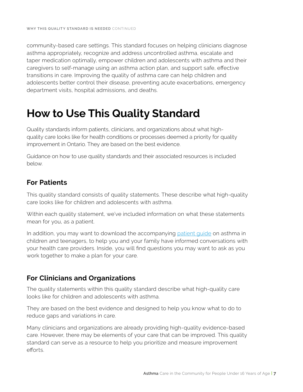community-based care settings. This standard focuses on helping clinicians diagnose asthma appropriately, recognize and address uncontrolled asthma, escalate and taper medication optimally, empower children and adolescents with asthma and their caregivers to self-manage using an asthma action plan, and support safe, effective transitions in care. Improving the quality of asthma care can help children and adolescents better control their disease, preventing acute exacerbations, emergency department visits, hospital admissions, and deaths.

# **How to Use This Quality Standard**

Quality standards inform patients, clinicians, and organizations about what highquality care looks like for health conditions or processes deemed a priority for quality improvement in Ontario. They are based on the best evidence.

Guidance on how to use quality standards and their associated resources is included below.

# **For Patients**

This quality standard consists of quality statements. These describe what high-quality care looks like for children and adolescents with asthma.

Within each quality statement, we've included information on what these statements mean for you, as a patient.

In addition, you may want to download the accompanying [patient guide](https://www.hqontario.ca/evidence-to-improve-care/quality-standards/view-all-quality-standards/asthma-in-children-and-adolescents) on asthma in children and teenagers, to help you and your family have informed conversations with your health care providers. Inside, you will find questions you may want to ask as you work together to make a plan for your care.

# **For Clinicians and Organizations**

The quality statements within this quality standard describe what high-quality care looks like for children and adolescents with asthma.

They are based on the best evidence and designed to help you know what to do to reduce gaps and variations in care.

Many clinicians and organizations are already providing high-quality evidence-based care. However, there may be elements of your care that can be improved. This quality standard can serve as a resource to help you prioritize and measure improvement efforts.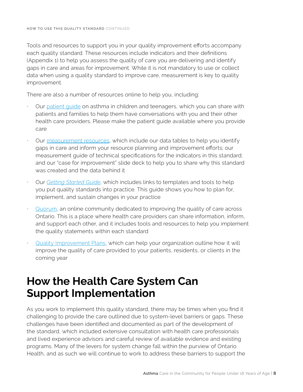Tools and resources to support you in your quality improvement efforts accompany each quality standard. These resources include indicators and their definitions (Appendix 1) to help you assess the quality of care you are delivering and identify gaps in care and areas for improvement. While it is not mandatory to use or collect data when using a quality standard to improve care, measurement is key to quality improvement.

There are also a number of resources online to help you, including:

- Our [patient guide](https://www.hqontario.ca/evidence-to-improve-care/quality-standards/view-all-quality-standards/asthma-in-children-and-adolescents) on asthma in children and teenagers, which you can share with patients and families to help them have conversations with you and their other health care providers. Please make the patient guide available where you provide care
- Our [measurement resources](https://www.hqontario.ca/evidence-to-improve-care/quality-standards/view-all-quality-standards/asthma-in-children-and-adolescents), which include our data tables to help you identify gaps in care and inform your resource planning and improvement efforts; our measurement guide of technical specifications for the indicators in this standard; and our "case for improvement" slide deck to help you to share why this standard was created and the data behind it
- Our *[Getting Started Guide](https://www.hqontario.ca/evidence-to-improve-care/quality-standards/view-all-quality-standards/asthma-in-children-and-adolescents)*, which includes links to templates and tools to help you put quality standards into practice. This guide shows you how to plan for, implement, and sustain changes in your practice
- [Quorum,](https://www.hqontario.ca/Quality-Improvement/Quorum) an online community dedicated to improving the quality of care across Ontario. This is a place where health care providers can share information, inform, and support each other, and it includes tools and resources to help you implement the quality statements within each standard
- [Quality Improvement Plans](https://www.hqontario.ca/Quality-Improvement/Quality-Improvement-Plans), which can help your organization outline how it will improve the quality of care provided to your patients, residents, or clients in the coming year

# **How the Health Care System Can Support Implementation**

As you work to implement this quality standard, there may be times when you find it challenging to provide the care outlined due to system-level barriers or gaps. These challenges have been identified and documented as part of the development of the standard, which included extensive consultation with health care professionals and lived experience advisors and careful review of available evidence and existing programs. Many of the levers for system change fall within the purview of Ontario Health, and as such we will continue to work to address these barriers to support the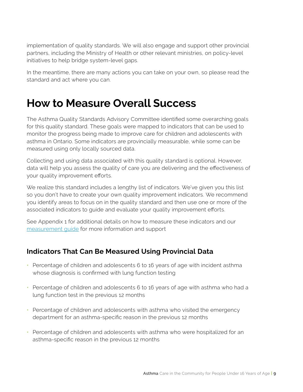implementation of quality standards. We will also engage and support other provincial partners, including the Ministry of Health or other relevant ministries, on policy-level initiatives to help bridge system-level gaps.

In the meantime, there are many actions you can take on your own, so please read the standard and act where you can.

# **How to Measure Overall Success**

The Asthma Quality Standards Advisory Committee identified some overarching goals for this quality standard. These goals were mapped to indicators that can be used to monitor the progress being made to improve care for children and adolescents with asthma in Ontario. Some indicators are provincially measurable, while some can be measured using only locally sourced data.

Collecting and using data associated with this quality standard is optional. However, data will help you assess the quality of care you are delivering and the effectiveness of your quality improvement efforts.

We realize this standard includes a lengthy list of indicators. We've given you this list so you don't have to create your own quality improvement indicators. We recommend you identify areas to focus on in the quality standard and then use one or more of the associated indicators to guide and evaluate your quality improvement efforts.

See Appendix 1 for additional details on how to measure these indicators and our [measurement guide](https://www.hqontario.ca/evidence-to-improve-care/quality-standards/view-all-quality-standards/asthma-in-children-and-adolescents) for more information and support

# **Indicators That Can Be Measured Using Provincial Data**

- Percentage of children and adolescents 6 to 16 years of age with incident asthma whose diagnosis is confirmed with lung function testing
- Percentage of children and adolescents 6 to 16 years of age with asthma who had a lung function test in the previous 12 months
- Percentage of children and adolescents with asthma who visited the emergency department for an asthma-specific reason in the previous 12 months
- Percentage of children and adolescents with asthma who were hospitalized for an asthma-specific reason in the previous 12 months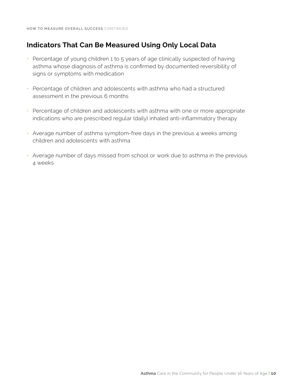# **Indicators That Can Be Measured Using Only Local Data**

- Percentage of young children 1 to 5 years of age clinically suspected of having asthma whose diagnosis of asthma is confirmed by documented reversibility of signs or symptoms with medication
- Percentage of children and adolescents with asthma who had a structured assessment in the previous 6 months
- Percentage of children and adolescents with asthma with one or more appropriate indications who are prescribed regular (daily) inhaled anti-inflammatory therapy
- Average number of asthma symptom-free days in the previous 4 weeks among children and adolescents with asthma
- Average number of days missed from school or work due to asthma in the previous 4 weeks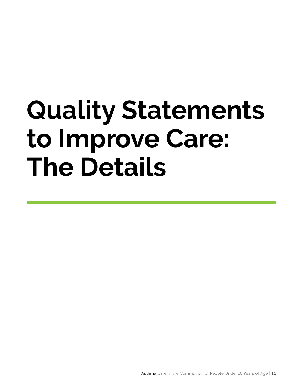# **Quality Statements to Improve Care: The Details**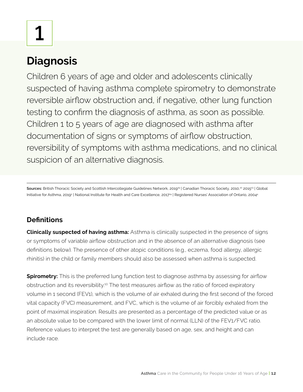**1**

# **Diagnosis**

Children 6 years of age and older and adolescents clinically suspected of having asthma complete spirometry to demonstrate reversible airflow obstruction and, if negative, other lung function testing to confirm the diagnosis of asthma, as soon as possible. Children 1 to 5 years of age are diagnosed with asthma after documentation of signs or symptoms of airflow obstruction, reversibility of symptoms with asthma medications, and no clinical suspicion of an alternative diagnosis.

Sources: British Thoracic Society and Scottish Intercollegiate Guidelines Network, 2019<sup>19</sup> | Canadian Thoracic Society, 2010,<sup>10</sup> 2015<sup>23</sup> | Global Initiative for Asthma, 2019² | National Institute for Health and Care Excellence, 201744 | Registered Nurses' Association of Ontario, 20044

# **Definitions**

**Clinically suspected of having asthma:** Asthma is clinically suspected in the presence of signs or symptoms of variable airflow obstruction and in the absence of an alternative diagnosis (see definitions below). The presence of other atopic conditions (e.g., eczema, food allergy, allergic rhinitis) in the child or family members should also be assessed when asthma is suspected.

**Spirometry:** This is the preferred lung function test to diagnose asthma by assessing for airflow obstruction and its reversibility.10 The test measures airflow as the ratio of forced expiratory volume in 1 second (FEV1), which is the volume of air exhaled during the first second of the forced vital capacity (FVC) measurement, and FVC, which is the volume of air forcibly exhaled from the point of maximal inspiration. Results are presented as a percentage of the predicted value or as an absolute value to be compared with the lower limit of normal (LLN) of the FEV1/FVC ratio. Reference values to interpret the test are generally based on age, sex, and height and can include race.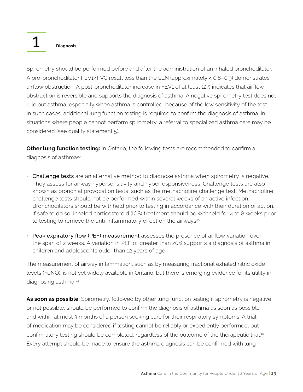Spirometry should be performed before and after the administration of an inhaled bronchodilator. A pre-bronchodilator FEV1/FVC result less than the LLN (approximately < 0.8–0.9) demonstrates airflow obstruction. A post-bronchodilator increase in FEV1 of at least 12% indicates that airflow obstruction is reversible and supports the diagnosis of asthma. A negative spirometry test does not rule out asthma, especially when asthma is controlled, because of the low sensitivity of the test. In such cases, additional lung function testing is required to confirm the diagnosis of asthma. In situations where people cannot perform spirometry, a referral to specialized asthma care may be considered (see quality statement 5).

**Other lung function testing:** In Ontario, the following tests are recommended to confirm a diagnosis of asthma<sup>10</sup>:

- Challenge tests are an alternative method to diagnose asthma when spirometry is negative. They assess for airway hypersensitivity and hyperresponsiveness. Challenge tests are also known as bronchial provocation tests, such as the methacholine challenge test. Methacholine challenge tests should not be performed within several weeks of an active infection. Bronchodilators should be withheld prior to testing in accordance with their duration of action. If safe to do so, inhaled corticosteroid (ICS) treatment should be withheld for 4 to 8 weeks prior to testing to remove the anti-inflammatory effect on the airways $25$
- Peak expiratory flow (PEF) measurement assesses the presence of airflow variation over the span of 2 weeks. A variation in PEF of greater than 20% supports a diagnosis of asthma in children and adolescents older than 12 years of age

The measurement of airway inflammation, such as by measuring fractional exhaled nitric oxide levels (FeNO), is not yet widely available in Ontario, but there is emerging evidence for its utility in diagnosing asthma.24

As soon as possible: Spirometry, followed by other lung function testing if spirometry is negative or not possible, should be performed to confirm the diagnosis of asthma as soon as possible and within at most 3 months of a person seeking care for their respiratory symptoms. A trial of medication may be considered if testing cannot be reliably or expediently performed, but confirmatory testing should be completed, regardless of the outcome of the therapeutic trial.<sup>10</sup> Every attempt should be made to ensure the asthma diagnosis can be confirmed with lung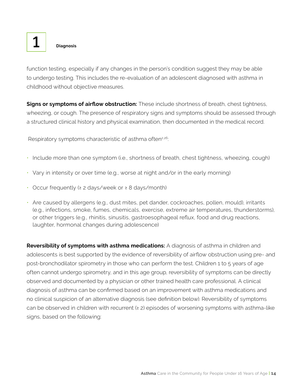function testing, especially if any changes in the person's condition suggest they may be able to undergo testing. This includes the re-evaluation of an adolescent diagnosed with asthma in childhood without objective measures.

**Signs or symptoms of airflow obstruction:** These include shortness of breath, chest tightness, wheezing, or cough. The presence of respiratory signs and symptoms should be assessed through a structured clinical history and physical examination, then documented in the medical record.

Respiratory symptoms characteristic of asthma often<sup>2,26</sup>:

- Include more than one symptom (i.e., shortness of breath, chest tightness, wheezing, cough)
- Vary in intensity or over time (e.g., worse at night and/or in the early morning)
- Occur frequently (≥ 2 days/week or ≥ 8 days/month)
- Are caused by allergens (e.g., dust mites, pet dander, cockroaches, pollen, mould), irritants (e.g., infections, smoke, fumes, chemicals, exercise, extreme air temperatures, thunderstorms), or other triggers (e.g., rhinitis, sinusitis, gastroesophageal reflux, food and drug reactions, laughter, hormonal changes during adolescence)

**Reversibility of symptoms with asthma medications:** A diagnosis of asthma in children and adolescents is best supported by the evidence of reversibility of airflow obstruction using pre- and post-bronchodilator spirometry in those who can perform the test. Children 1 to 5 years of age often cannot undergo spirometry, and in this age group, reversibility of symptoms can be directly observed and documented by a physician or other trained health care professional. A clinical diagnosis of asthma can be confirmed based on an improvement with asthma medications and no clinical suspicion of an alternative diagnosis (see definition below). Reversibility of symptoms can be observed in children with recurrent  $(≥ 2)$  episodes of worsening symptoms with asthma-like signs, based on the following: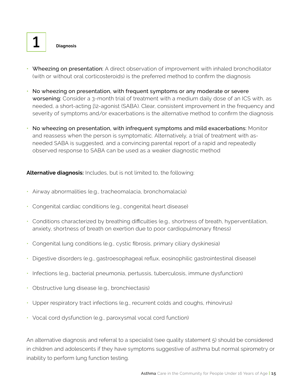- Wheezing on presentation: A direct observation of improvement with inhaled bronchodilator (with or without oral corticosteroids) is the preferred method to confirm the diagnosis
- No wheezing on presentation, with frequent symptoms or any moderate or severe worsening: Consider a 3-month trial of treatment with a medium daily dose of an ICS with, as needed, a short-acting β2-agonist (SABA). Clear, consistent improvement in the frequency and severity of symptoms and/or exacerbations is the alternative method to confirm the diagnosis
- No wheezing on presentation, with infrequent symptoms and mild exacerbations: Monitor and reassess when the person is symptomatic. Alternatively, a trial of treatment with asneeded SABA is suggested, and a convincing parental report of a rapid and repeatedly observed response to SABA can be used as a weaker diagnostic method

**Alternative diagnosis:** Includes, but is not limited to, the following:

- Airway abnormalities (e.g., tracheomalacia, bronchomalacia)
- Congenital cardiac conditions (e.g., congenital heart disease)
- Conditions characterized by breathing difficulties (e.g., shortness of breath, hyperventilation, anxiety, shortness of breath on exertion due to poor cardiopulmonary fitness)
- Congenital lung conditions (e.g., cystic fibrosis, primary ciliary dyskinesia)
- Digestive disorders (e.g., gastroesophageal reflux, eosinophilic gastrointestinal disease)
- Infections (e.g., bacterial pneumonia, pertussis, tuberculosis, immune dysfunction)
- Obstructive lung disease (e.g., bronchiectasis)
- Upper respiratory tract infections (e.g., recurrent colds and coughs, rhinovirus)
- Vocal cord dysfunction (e.g., paroxysmal vocal cord function)

An alternative diagnosis and referral to a specialist (see quality statement 5) should be considered in children and adolescents if they have symptoms suggestive of asthma but normal spirometry or inability to perform lung function testing.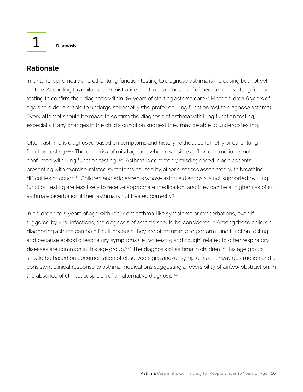# **Rationale**

In Ontario, spirometry and other lung function testing to diagnose asthma is increasing but not yet routine. According to available administrative health data, about half of people receive lung function testing to confirm their diagnosis within  $3\frac{1}{2}$  years of starting asthma care.<sup>27</sup> Most children 6 years of age and older are able to undergo spirometry (the preferred lung function test to diagnose asthma). Every attempt should be made to confirm the diagnosis of asthma with lung function testing, especially if any changes in the child's condition suggest they may be able to undergo testing.

Often, asthma is diagnosed based on symptoms and history, without spirometry or other lung function testing.14,16 There is a risk of misdiagnosis when reversible airflow obstruction is not confirmed with lung function testing.14,16 Asthma is commonly misdiagnosed in adolescents presenting with exercise-related symptoms caused by other diseases associated with breathing difficulties or cough.<sup>26</sup> Children and adolescents whose asthma diagnosis is not supported by lung function testing are less likely to receive appropriate medication, and they can be at higher risk of an asthma exacerbation if their asthma is not treated correctly.3

In children 1 to 5 years of age with recurrent asthma-like symptoms or exacerbations, even if triggered by viral infections, the diagnosis of asthma should be considered.<sup>23</sup> Among these children, diagnosing asthma can be difficult because they are often unable to perform lung function testing and because episodic respiratory symptoms (i.e., wheezing and cough) related to other respiratory diseases are common in this age group.<sup>6,26</sup> The diagnosis of asthma in children in this age group should be based on documentation of observed signs and/or symptoms of airway obstruction and a consistent clinical response to asthma medications suggesting a reversibility of airflow obstruction, in the absence of clinical suspicion of an alternative diagnosis.<sup>3,23</sup>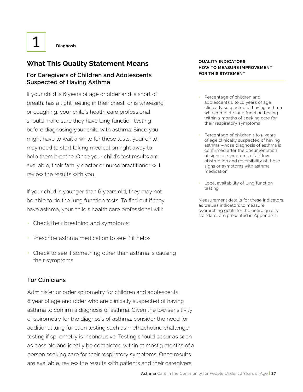# **What This Quality Statement Means**

# **For Caregivers of Children and Adolescents Suspected of Having Asthma**

If your child is 6 years of age or older and is short of breath, has a tight feeling in their chest, or is wheezing or coughing, your child's health care professional should make sure they have lung function testing before diagnosing your child with asthma. Since you might have to wait a while for these tests, your child may need to start taking medication right away to help them breathe. Once your child's test results are available, their family doctor or nurse practitioner will review the results with you.

If your child is younger than 6 years old, they may not be able to do the lung function tests. To find out if they have asthma, your child's health care professional will:

- Check their breathing and symptoms
- Prescribe asthma medication to see if it helps
- Check to see if something other than asthma is causing their symptoms

### **For Clinicians**

Administer or order spirometry for children and adolescents 6 year of age and older who are clinically suspected of having asthma to confirm a diagnosis of asthma. Given the low sensitivity of spirometry for the diagnosis of asthma, consider the need for additional lung function testing such as methacholine challenge testing if spirometry is inconclusive. Testing should occur as soon as possible and ideally be completed within at most 3 months of a person seeking care for their respiratory symptoms. Once results are available, review the results with patients and their caregivers.

#### **QUALITY INDICATORS: HOW TO MEASURE IMPROVEMENT FOR THIS STATEMENT**

- Percentage of children and adolescents 6 to 16 years of age clinically suspected of having asthma who complete lung function testing within 3 months of seeking care for their respiratory symptoms
- Percentage of children 1 to 5 years of age clinically suspected of having asthma whose diagnosis of asthma is confirmed after the documentation of signs or symptoms of airflow obstruction and reversibility of those signs or symptoms with asthma medication
- Local availability of lung function testing

Measurement details for these indicators, as well as indicators to measure overarching goals for the entire quality standard, are presented in Appendix 1.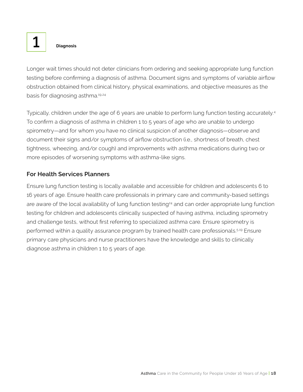Longer wait times should not deter clinicians from ordering and seeking appropriate lung function testing before confirming a diagnosis of asthma. Document signs and symptoms of variable airflow obstruction obtained from clinical history, physical examinations, and objective measures as the basis for diagnosing asthma.19,24

Typically, children under the age of 6 years are unable to perform lung function testing accurately.4 To confirm a diagnosis of asthma in children 1 to 5 years of age who are unable to undergo spirometry—and for whom you have no clinical suspicion of another diagnosis—observe and document their signs and/or symptoms of airflow obstruction (i.e., shortness of breath, chest tightness, wheezing, and/or cough) and improvements with asthma medications during two or more episodes of worsening symptoms with asthma-like signs.

# **For Health Services Planners**

Ensure lung function testing is locally available and accessible for children and adolescents 6 to 16 years of age. Ensure health care professionals in primary care and community-based settings are aware of the local availability of lung function testing<sup>24</sup> and can order appropriate lung function testing for children and adolescents clinically suspected of having asthma, including spirometry and challenge tests, without first referring to specialized asthma care. Ensure spirometry is performed within a quality assurance program by trained health care professionals.<sup>5,19</sup> Ensure primary care physicians and nurse practitioners have the knowledge and skills to clinically diagnose asthma in children 1 to 5 years of age.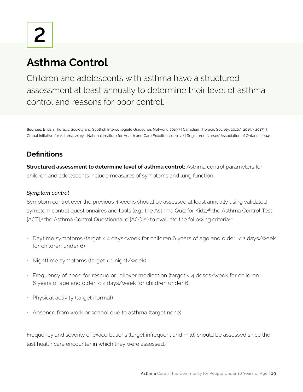Children and adolescents with asthma have a structured assessment at least annually to determine their level of asthma control and reasons for poor control.

Sources: British Thoracic Society and Scottish Intercollegiate Guidelines Network, 2019<sup>19</sup> | Canadian Thoracic Society, 2010,<sup>10</sup> 2015,<sup>23</sup> 2017<sup>12</sup> | Global Initiative for Asthma, 2019² | National Institute for Health and Care Excellence, 2017<sup>24</sup> | Registered Nurses' Association of Ontario, 20044

# **Definitions**

**Structured assessment to determine level of asthma control:** Asthma control parameters for children and adolescents include measures of symptoms and lung function.

# *Symptom control*

Symptom control over the previous 4 weeks should be assessed at least annually using validated symptom control questionnaires and tools (e.g., the Asthma Quiz for Kidz,<sup>28</sup> the Asthma Control Test [ACT],<sup>2</sup> the Asthma Control Questionnaire [ACQ]<sup>29</sup>) to evaluate the following criteria<sup>23</sup>:

- Daytime symptoms (target < 4 days/week for children 6 years of age and older; < 2 days/week for children under 6)
- Nighttime symptoms (target < 1 night/week)
- Frequency of need for rescue or reliever medication (target < 4 doses/week for children 6 years of age and older; < 2 days/week for children under 6)
- Physical activity (target normal)
- Absence from work or school due to asthma (target none)

Frequency and severity of exacerbations (target infrequent and mild) should be assessed since the last health care encounter in which they were assessed.<sup>30</sup>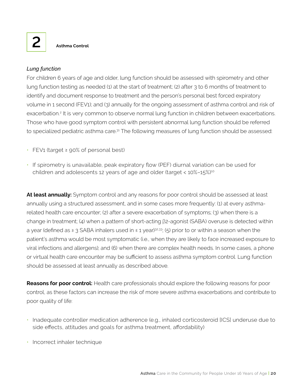## *Lung function*

For children 6 years of age and older, lung function should be assessed with spirometry and other lung function testing as needed (1) at the start of treatment; (2) after 3 to 6 months of treatment to identify and document response to treatment and the person's personal best forced expiratory volume in 1 second (FEV1); and (3) annually for the ongoing assessment of asthma control and risk of exacerbation.<sup>2</sup> It is very common to observe normal lung function in children between exacerbations. Those who have good symptom control with persistent abnormal lung function should be referred to specialized pediatric asthma care.<sup>31</sup> The following measures of lung function should be assessed:

- FEV1 (target ≥ 90% of personal best)
- If spirometry is unavailable, peak expiratory flow (PEF) diurnal variation can be used for children and adolescents 12 years of age and older (target < 10%–15%)<sup>10</sup>

**At least annually:** Symptom control and any reasons for poor control should be assessed at least annually using a structured assessment, and in some cases more frequently: (1) at every asthmarelated health care encounter; (2) after a severe exacerbation of symptoms; (3) when there is a change in treatment; (4) when a pattern of short-acting β2-agonist (SABA) overuse is detected within a year (defined as ≥ 3 SABA inhalers used in ≤ 1 year)<sup>32,33</sup>; (5) prior to or within a season when the patient's asthma would be most symptomatic (i.e., when they are likely to face increased exposure to viral infections and allergens); and (6) when there are complex health needs. In some cases, a phone or virtual health care encounter may be sufficient to assess asthma symptom control. Lung function should be assessed at least annually as described above.

**Reasons for poor control:** Health care professionals should explore the following reasons for poor control, as these factors can increase the risk of more severe asthma exacerbations and contribute to poor quality of life:

- Inadequate controller medication adherence (e.g., inhaled corticosteroid [ICS] underuse due to side effects, attitudes and goals for asthma treatment, affordability)
- Incorrect inhaler technique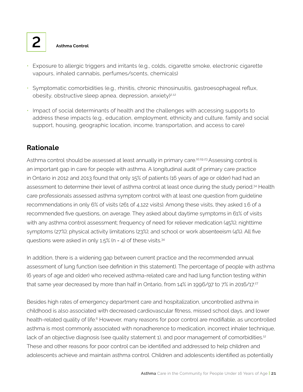- Exposure to allergic triggers and irritants (e.g., colds, cigarette smoke, electronic cigarette vapours, inhaled cannabis, perfumes/scents, chemicals)
- Symptomatic comorbidities (e.g., rhinitis, chronic rhinosinusitis, gastroesophageal reflux, obesity, obstructive sleep apnea, depression, anxiety) $2.12$
- Impact of social determinants of health and the challenges with accessing supports to address these impacts (e.g., education, employment, ethnicity and culture, family and social support, housing, geographic location, income, transportation, and access to care)

# **Rationale**

Asthma control should be assessed at least annually in primary care.<sup>10,19,23</sup> Assessing control is an important gap in care for people with asthma. A longitudinal audit of primary care practice in Ontario in 2012 and 2013 found that only 15% of patients (16 years of age or older) had had an assessment to determine their level of asthma control at least once during the study period.34 Health care professionals assessed asthma symptom control with at least one question from guideline recommendations in only 6% of visits (261 of 4,122 visits). Among these visits, they asked 1.6 of a recommended five questions, on average. They asked about daytime symptoms in 61% of visits with any asthma control assessment; frequency of need for reliever medication (45%); nighttime symptoms (27%); physical activity limitations (23%); and school or work absenteeism (4%). All five questions were asked in only  $1.5\%$  (n = 4) of these visits.<sup>34</sup>

In addition, there is a widening gap between current practice and the recommended annual assessment of lung function (see definition in this statement). The percentage of people with asthma (6 years of age and older) who received asthma-related care and had lung function testing within that same year decreased by more than half in Ontario, from 14% in 1996/97 to 7% in 2016/17.<sup>27</sup>

Besides high rates of emergency department care and hospitalization, uncontrolled asthma in childhood is also associated with decreased cardiovascular fitness, missed school days, and lower health-related quality of life.<sup>6</sup> However, many reasons for poor control are modifiable, as uncontrolled asthma is most commonly associated with nonadherence to medication, incorrect inhaler technique, lack of an objective diagnosis (see quality statement 1), and poor management of comorbidities.<sup>12</sup> These and other reasons for poor control can be identified and addressed to help children and adolescents achieve and maintain asthma control. Children and adolescents identified as potentially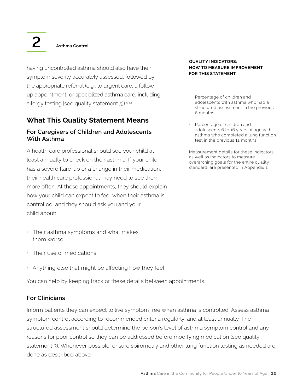having uncontrolled asthma should also have their symptom severity accurately assessed, followed by the appropriate referral (e.g., to urgent care, a followup appointment, or specialized asthma care, including allergy testing [see quality statement 5]).<sup>4,23</sup>

# **What This Quality Statement Means**

# **For Caregivers of Children and Adolescents With Asthma**

A health care professional should see your child at least annually to check on their asthma. If your child has a severe flare-up or a change in their medication, their health care professional may need to see them more often. At these appointments, they should explain how your child can expect to feel when their asthma is controlled, and they should ask you and your child about:

- Their asthma symptoms and what makes them worse
- Their use of medications
- Anything else that might be affecting how they feel

You can help by keeping track of these details between appointments.

### **For Clinicians**

Inform patients they can expect to live symptom free when asthma is controlled. Assess asthma symptom control according to recommended criteria regularly, and at least annually. The structured assessment should determine the person's level of asthma symptom control and any reasons for poor control so they can be addressed before modifying medication (see quality statement 3). Whenever possible, ensure spirometry and other lung function testing as needed are done as described above.

#### **QUALITY INDICATORS: HOW TO MEASURE IMPROVEMENT FOR THIS STATEMENT**

- Percentage of children and adolescents with asthma who had a structured assessment in the previous 6 months
- Percentage of children and adolescents 6 to 16 years of age with asthma who completed a lung function test in the previous 12 months

Measurement details for these indicators, as well as indicators to measure overarching goals for the entire quality standard, are presented in Appendix 1.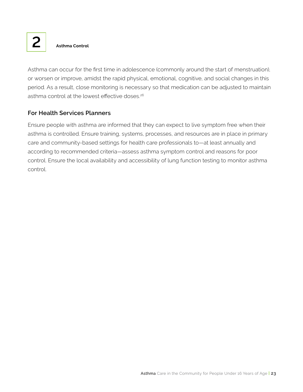Asthma can occur for the first time in adolescence (commonly around the start of menstruation), or worsen or improve, amidst the rapid physical, emotional, cognitive, and social changes in this period. As a result, close monitoring is necessary so that medication can be adjusted to maintain asthma control at the lowest effective doses.<sup>26</sup>

# **For Health Services Planners**

Ensure people with asthma are informed that they can expect to live symptom free when their asthma is controlled. Ensure training, systems, processes, and resources are in place in primary care and community-based settings for health care professionals to—at least annually and according to recommended criteria—assess asthma symptom control and reasons for poor control. Ensure the local availability and accessibility of lung function testing to monitor asthma control.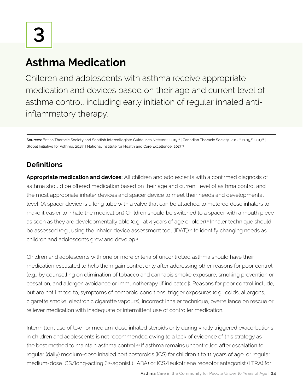Children and adolescents with asthma receive appropriate medication and devices based on their age and current level of asthma control, including early initiation of regular inhaled antiinflammatory therapy.

Sources: British Thoracic Society and Scottish Intercollegiate Guidelines Network, 2019<sup>19</sup> | Canadian Thoracic Society, 2012,<sup>11</sup> 2015,<sup>23</sup> 2017<sup>12</sup> | Global Initiative for Asthma, 2019 $^{\circ}$  | National Institute for Health and Care Excellence, 2017 $^{24}$ 

# **Definitions**

**Appropriate medication and devices:** All children and adolescents with a confirmed diagnosis of asthma should be offered medication based on their age and current level of asthma control and the most appropriate inhaler devices and spacer device to meet their needs and developmental level. (A spacer device is a long tube with a valve that can be attached to metered dose inhalers to make it easier to inhale the medication.) Children should be switched to a spacer with a mouth piece as soon as they are developmentally able (e.g., at 4 years of age or older).4 Inhaler technique should be assessed (e.g., using the inhaler device assessment tool [IDAT])<sup>35</sup> to identify changing needs as children and adolescents grow and develop.4

Children and adolescents with one or more criteria of uncontrolled asthma should have their medication escalated to help them gain control only after addressing other reasons for poor control (e.g., by counselling on elimination of tobacco and cannabis smoke exposure, smoking prevention or cessation, and allergen avoidance or immunotherapy [if indicated]). Reasons for poor control include, but are not limited to, symptoms of comorbid conditions, trigger exposures (e.g., colds, allergens, cigarette smoke, electronic cigarette vapours), incorrect inhaler technique, overreliance on rescue or reliever medication with inadequate or intermittent use of controller medication.

Intermittent use of low- or medium-dose inhaled steroids only during virally triggered exacerbations in children and adolescents is not recommended owing to a lack of evidence of this strategy as the best method to maintain asthma control.<sup>23</sup> If asthma remains uncontrolled after escalation to regular (daily) medium-dose inhaled corticosteroids (ICS) for children 1 to 11 years of age, or regular medium-dose ICS/long-acting β2-agonist (LABA) or ICS/leukotriene receptor antagonist (LTRA) for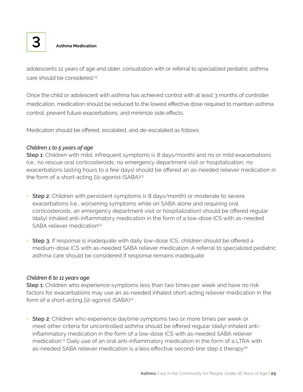

adolescents 12 years of age and older, consultation with or referral to specialized pediatric asthma care should be considered.<sup>23</sup>

Once the child or adolescent with asthma has achieved control with at least 3 months of controller medication, medication should be reduced to the lowest effective dose required to maintain asthma control, prevent future exacerbations, and minimize side effects.

Medication should be offered, escalated, and de-escalated as follows:

### *Children 1 to 5 years of age*

Step 1: Children with mild, infrequent symptoms  $\left| \langle x \rangle \right|$  and no or mild exacerbations (i.e., no rescue oral corticosteroids, no emergency department visit or hospitalization, no exacerbations lasting hours to a few days) should be offered an as-needed reliever medication in the form of a short-acting β2-agonist (SABA)<sup>23</sup>

- Step 2: Children with persistent symptoms (≥ 8 days/month) or moderate to severe exacerbations (i.e., worsening symptoms while on SABA alone and requiring oral corticosteroids, an emergency department visit or hospitalization) should be offered regular (daily) inhaled anti-inflammatory medication in the form of a low-dose ICS with as-needed SABA reliever medication<sup>23</sup>
- **Step 3:** If response is inadequate with daily low-dose ICS, children should be offered a medium-dose ICS with as-needed SABA reliever medication. A referral to specialized pediatric asthma care should be considered if response remains inadequate

### *Children 6 to 11 years age*

Step 1: Children who experience symptoms less than two times per week and have no risk factors for exacerbations may use an as-needed inhaled short-acting reliever medication in the form of a short-acting β2-agonist (SABA)<sup>12</sup>

• Step 2: Children who experience daytime symptoms two or more times per week or meet other criteria for uncontrolled asthma should be offered regular (daily) inhaled antiinflammatory medication in the form of a low-dose ICS with as-needed SABA reliever medication.<sup>12</sup> Daily use of an oral anti-inflammatory medication in the form of a LTRA with as-needed SABA reliever medication is a less effective second-line step 2 therapy<sup>36</sup>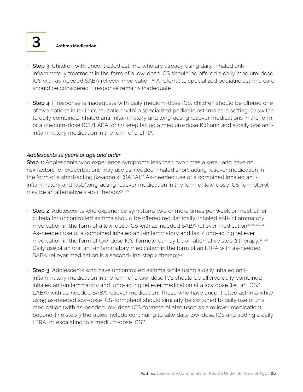- **Step 3:** Children with uncontrolled asthma who are already using daily inhaled antiinflammatory treatment in the form of a low-dose ICS should be offered a daily medium-dose ICS with as-needed SABA reliever medication.12 A referral to specialized pediatric asthma care should be considered if response remains inadequate
- Step 4: If response is inadequate with daily medium-dose ICS, children should be offered one of two options in (or in consultation with) a specialized pediatric asthma care setting: (1) switch to daily combined inhaled anti-inflammatory and long-acting reliever medications in the form of a medium-dose ICS/LABA; or (2) keep taking a medium-dose ICS and add a daily oral antiinflammatory medication in the form of a LTRA

#### *Adolescents 12 years of age and older*

Step 1: Adolescents who experience symptoms less than two times a week and have no risk factors for exacerbations may use as-needed inhaled short-acting reliever medication in the form of a short-acting β2-agonist (SABA).<sup>12</sup> As-needed use of a combined inhaled antiinflammatory and fast/long-acting reliever medication in the form of low-dose ICS-formoterol may be an alternative step 1 therapy<sup>37-40</sup>

- Step 2: Adolescents who experience symptoms two or more times per week or meet other criteria for uncontrolled asthma should be offered regular (daily) inhaled anti-inflammatory medication in the form of a low-dose ICS with as-needed SABA reliever medication<sup>12,19,24,41</sup> As-needed use of a combined inhaled anti-inflammatory and fast/long-acting reliever medication in the form of low-dose ICS-formoterol may be an alternative step 2 therapy.<sup>37-40</sup> Daily use of an oral anti-inflammatory medication in the form of an LTRA with as-needed SABA reliever medication is a second-line step 2 therapy<sup>12</sup>
- Step 3: Adolescents who have uncontrolled asthma while using a daily inhaled antiinflammatory medication in the form of a low-dose ICS should be offered daily combined inhaled anti-inflammatory and long-acting reliever medication at a low dose (i.e., an ICS/ LABA) with as-needed SABA reliever medication. Those who have uncontrolled asthma while using as-needed low-dose ICS-formoterol should similarly be switched to daily use of this medication (with as-needed low-dose ICS-formoterol also used as a reliever medication). Second-line step 3 therapies include continuing to take daily low-dose ICS and adding a daily LTRA, or escalating to a medium-dose ICS<sup>12</sup>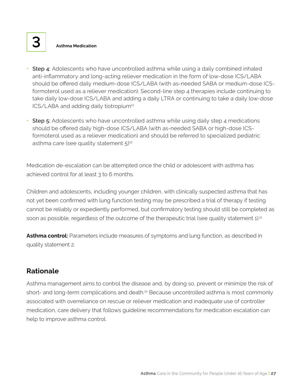- **Step 4:** Adolescents who have uncontrolled asthma while using a daily combined inhaled anti-inflammatory and long-acting reliever medication in the form of low-dose ICS/LABA should be offered daily medium-dose ICS/LABA (with as-needed SABA or medium-dose ICSformoterol used as a reliever medication). Second-line step 4 therapies include continuing to take daily low-dose ICS/LABA and adding a daily LTRA or continuing to take a daily low-dose ICS/LABA and adding daily tiotropium<sup>12</sup>
- Step 5: Adolescents who have uncontrolled asthma while using daily step 4 medications should be offered daily high-dose ICS/LABA (with as-needed SABA or high-dose ICSformoterol used as a reliever medication) and should be referred to specialized pediatric asthma care (see quality statement  $5)^{12}$

Medication de-escalation can be attempted once the child or adolescent with asthma has achieved control for at least 3 to 6 months.

Children and adolescents, including younger children, with clinically suspected asthma that has not yet been confirmed with lung function testing may be prescribed a trial of therapy if testing cannot be reliably or expediently performed, but confirmatory testing should still be completed as soon as possible, regardless of the outcome of the therapeutic trial (see quality statement 1).<sup>11</sup>

Asthma control: Parameters include measures of symptoms and lung function, as described in quality statement 2.

# **Rationale**

Asthma management aims to control the disease and, by doing so, prevent or minimize the risk of short- and long-term complications and death.<sup>10</sup> Because uncontrolled asthma is most commonly associated with overreliance on rescue or reliever medication and inadequate use of controller medication, care delivery that follows guideline recommendations for medication escalation can help to improve asthma control.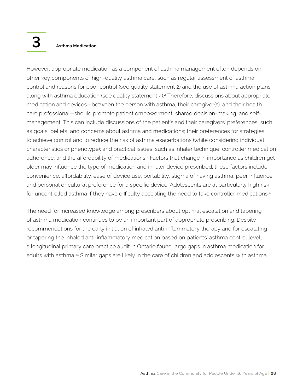However, appropriate medication as a component of asthma management often depends on other key components of high-quality asthma care, such as regular assessment of asthma control and reasons for poor control (see quality statement 2) and the use of asthma action plans along with asthma education (see quality statement 4).<sup>2</sup> Therefore, discussions about appropriate medication and devices—between the person with asthma, their caregiver(s), and their health care professional—should promote patient empowerment, shared decision-making, and selfmanagement. This can include discussions of the patient's and their caregivers' preferences, such as goals, beliefs, and concerns about asthma and medications; their preferences for strategies to achieve control and to reduce the risk of asthma exacerbations (while considering individual characteristics or phenotype); and practical issues, such as inhaler technique, controller medication adherence, and the affordability of medications.<sup>2</sup> Factors that change in importance as children get older may influence the type of medication and inhaler device prescribed; these factors include convenience, affordability, ease of device use, portability, stigma of having asthma, peer influence, and personal or cultural preference for a specific device. Adolescents are at particularly high risk for uncontrolled asthma if they have difficulty accepting the need to take controller medications.<sup>4</sup>

The need for increased knowledge among prescribers about optimal escalation and tapering of asthma medication continues to be an important part of appropriate prescribing. Despite recommendations for the early initiation of inhaled anti-inflammatory therapy and for escalating or tapering the inhaled anti-inflammatory medication based on patients' asthma control level, a longitudinal primary care practice audit in Ontario found large gaps in asthma medication for adults with asthma.<sup>34</sup> Similar gaps are likely in the care of children and adolescents with asthma.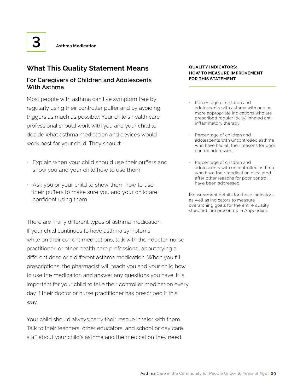# **What This Quality Statement Means**

# **For Caregivers of Children and Adolescents With Asthma**

Most people with asthma can live symptom free by regularly using their controller puffer and by avoiding triggers as much as possible. Your child's health care professional should work with you and your child to decide what asthma medication and devices would work best for your child. They should:

- Explain when your child should use their puffers and show you and your child how to use them
- Ask you or your child to show them how to use their puffers to make sure you and your child are confident using them

There are many different types of asthma medication. If your child continues to have asthma symptoms while on their current medications, talk with their doctor, nurse practitioner, or other health care professional about trying a different dose or a different asthma medication. When you fill prescriptions, the pharmacist will teach you and your child how to use the medication and answer any questions you have. It is important for your child to take their controller medication every day if their doctor or nurse practitioner has prescribed it this way.

Your child should always carry their rescue inhaler with them. Talk to their teachers, other educators, and school or day care staff about your child's asthma and the medication they need.

#### **QUALITY INDICATORS: HOW TO MEASURE IMPROVEMENT FOR THIS STATEMENT**

- Percentage of children and adolescents with asthma with one or more appropriate indications who are prescribed regular (daily) inhaled antiinflammatory therapy
- Percentage of children and adolescents with uncontrolled asthma who have had all their reasons for poor control addressed
- Percentage of children and adolescents with uncontrolled asthma who have their medication escalated after other reasons for poor control have been addressed

Measurement details for these indicators, as well as indicators to measure overarching goals for the entire quality standard, are presented in Appendix 1.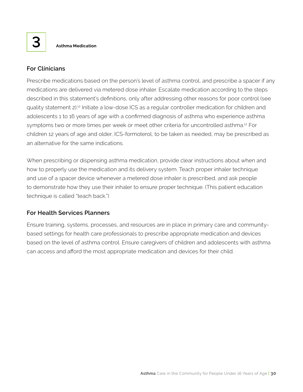

## **For Clinicians**

Prescribe medications based on the person's level of asthma control, and prescribe a spacer if any medications are delivered via metered dose inhaler. Escalate medication according to the steps described in this statement's definitions, only after addressing other reasons for poor control (see quality statement 2).12 Initiate a low-dose ICS as a regular controller medication for children and adolescents 1 to 16 years of age with a confirmed diagnosis of asthma who experience asthma symptoms two or more times per week or meet other criteria for uncontrolled asthma.<sup>12</sup> For children 12 years of age and older, ICS-formoterol, to be taken as needed, may be prescribed as an alternative for the same indications.

When prescribing or dispensing asthma medication, provide clear instructions about when and how to properly use the medication and its delivery system. Teach proper inhaler technique and use of a spacer device whenever a metered dose inhaler is prescribed, and ask people to demonstrate how they use their inhaler to ensure proper technique. (This patient education technique is called "teach back.")

# **For Health Services Planners**

Ensure training, systems, processes, and resources are in place in primary care and communitybased settings for health care professionals to prescribe appropriate medication and devices based on the level of asthma control. Ensure caregivers of children and adolescents with asthma can access and afford the most appropriate medication and devices for their child.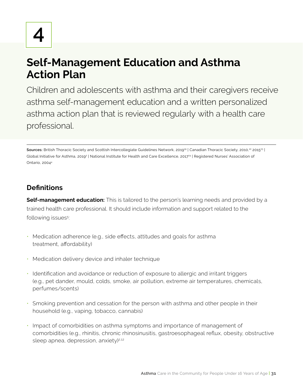**4**

# **Self-Management Education and Asthma Action Plan**

Children and adolescents with asthma and their caregivers receive asthma self-management education and a written personalized asthma action plan that is reviewed regularly with a health care professional.

Sources: British Thoracic Society and Scottish Intercollegiate Guidelines Network, 2019<sup>19</sup> | Canadian Thoracic Society, 2010,<sup>10</sup> 2015<sup>23</sup> | Global Initiative for Asthma, 2019? | National Institute for Health and Care Excellence, 201724 | Registered Nurses' Association of Ontario, 20044

# **Definitions**

**Self-management education:** This is tailored to the person's learning needs and provided by a trained health care professional. It should include information and support related to the following issues<sup>5</sup>. :

- Medication adherence (e.g., side effects, attitudes and goals for asthma treatment, affordability)
- Medication delivery device and inhaler technique
- Identification and avoidance or reduction of exposure to allergic and irritant triggers (e.g., pet dander, mould, colds, smoke, air pollution, extreme air temperatures, chemicals, perfumes/scents)
- Smoking prevention and cessation for the person with asthma and other people in their household (e.g., vaping, tobacco, cannabis)
- Impact of comorbidities on asthma symptoms and importance of management of comorbidities (e.g., rhinitis, chronic rhinosinusitis, gastroesophageal reflux, obesity, obstructive sleep apnea, depression, anxiety)<sup>2,12</sup>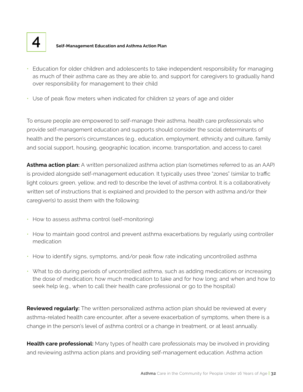

# **4 Self-Management Education and Asthma Action Plan**

- Education for older children and adolescents to take independent responsibility for managing as much of their asthma care as they are able to, and support for caregivers to gradually hand over responsibility for management to their child
- Use of peak flow meters when indicated for children 12 years of age and older

To ensure people are empowered to self-manage their asthma, health care professionals who provide self-management education and supports should consider the social determinants of health and the person's circumstances (e.g., education, employment, ethnicity and culture, family and social support, housing, geographic location, income, transportation, and access to care).

**Asthma action plan:** A written personalized asthma action plan (sometimes referred to as an AAP) is provided alongside self-management education. It typically uses three "zones" (similar to traffic light colours: green, yellow, and red) to describe the level of asthma control. It is a collaboratively written set of instructions that is explained and provided to the person with asthma and/or their caregiver(s) to assist them with the following:

- How to assess asthma control (self-monitoring)
- How to maintain good control and prevent asthma exacerbations by regularly using controller medication
- How to identify signs, symptoms, and/or peak flow rate indicating uncontrolled asthma
- What to do during periods of uncontrolled asthma, such as adding medications or increasing the dose of medication; how much medication to take and for how long; and when and how to seek help (e.g., when to call their health care professional or go to the hospital)

**Reviewed regularly:** The written personalized asthma action plan should be reviewed at every asthma-related health care encounter, after a severe exacerbation of symptoms, when there is a change in the person's level of asthma control or a change in treatment, or at least annually.

**Health care professional:** Many types of health care professionals may be involved in providing and reviewing asthma action plans and providing self-management education. Asthma action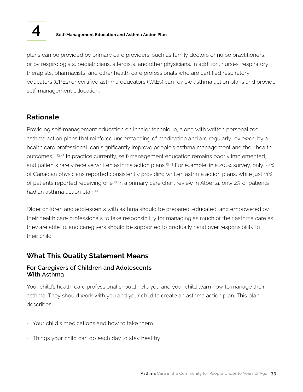

# **4 Self-Management Education and Asthma Action Plan**

plans can be provided by primary care providers, such as family doctors or nurse practitioners, or by respirologists, pediatricians, allergists, and other physicians. In addition, nurses, respiratory therapists, pharmacists, and other health care professionals who are certified respiratory educators (CREs) or certified asthma educators (CAEs) can review asthma action plans and provide self-management education.

# **Rationale**

Providing self-management education on inhaler technique, along with written personalized asthma action plans that reinforce understanding of medication and are regularly reviewed by a health care professional, can significantly improve people's asthma management and their health outcomes.11,13,42 In practice currently, self-management education remains poorly implemented, and patients rarely receive written asthma action plans.<sup>13,43</sup> For example, in a 2004 survey, only 22% of Canadian physicians reported consistently providing written asthma action plans, while just 11% of patients reported receiving one.13 In a primary care chart review in Alberta, only 2% of patients had an asthma action plan.44

Older children and adolescents with asthma should be prepared, educated, and empowered by their health care professionals to take responsibility for managing as much of their asthma care as they are able to, and caregivers should be supported to gradually hand over responsibility to their child.

# **What This Quality Statement Means**

### **For Caregivers of Children and Adolescents With Asthma**

Your child's health care professional should help you and your child learn how to manage their asthma. They should work with you and your child to create an asthma action plan. This plan describes:

- Your child's medications and how to take them
- Things your child can do each day to stay healthy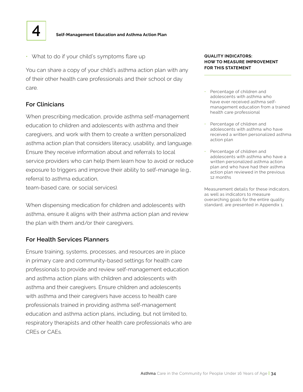

• What to do if your child's symptoms flare up

You can share a copy of your child's asthma action plan with any of their other health care professionals and their school or day care.

#### **For Clinicians**

When prescribing medication, provide asthma self-management education to children and adolescents with asthma and their caregivers, and work with them to create a written personalized asthma action plan that considers literacy, usability, and language. Ensure they receive information about and referrals to local service providers who can help them learn how to avoid or reduce exposure to triggers and improve their ability to self-manage (e.g., referral to asthma education,

team-based care, or social services).

When dispensing medication for children and adolescents with asthma, ensure it aligns with their asthma action plan and review the plan with them and/or their caregivers.

#### **For Health Services Planners**

Ensure training, systems, processes, and resources are in place in primary care and community-based settings for health care professionals to provide and review self-management education and asthma action plans with children and adolescents with asthma and their caregivers. Ensure children and adolescents with asthma and their caregivers have access to health care professionals trained in providing asthma self-management education and asthma action plans, including, but not limited to, respiratory therapists and other health care professionals who are CREs or CAEs.

#### **QUALITY INDICATORS: HOW TO MEASURE IMPROVEMENT FOR THIS STATEMENT**

- Percentage of children and adolescents with asthma who have ever received asthma selfmanagement education from a trained health care professional
- Percentage of children and adolescents with asthma who have received a written personalized asthma action plan
- Percentage of children and adolescents with asthma who have a written personalized asthma action plan and who have had their asthma action plan reviewed in the previous 12 months

Measurement details for these indicators, as well as indicators to measure overarching goals for the entire quality standard, are presented in Appendix 1.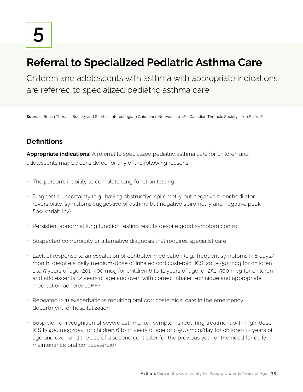# **Referral to Specialized Pediatric Asthma Care**

Children and adolescents with asthma with appropriate indications are referred to specialized pediatric asthma care.

Sources: British Thoracic Society and Scottish Intercollegiate Guidelines Network, 2019<sup>19</sup> | Canadian Thoracic Society, 2010,<sup>10</sup> 2015<sup>23</sup>

# **Definitions**

**Appropriate indications:** A referral to specialized pediatric asthma care for children and adolescents may be considered for any of the following reasons:

- The person's inability to complete lung function testing
- Diagnostic uncertainty (e.g., having obstructive spirometry but negative bronchodilator reversibility, symptoms suggestive of asthma but negative spirometry and negative peak flow variability)
- Persistent abnormal lung function testing results despite good symptom control
- Suspected comorbidity or alternative diagnosis that requires specialist care
- Lack of response to an escalation of controller medication (e.g., frequent symptoms [≥ 8 days/ month] despite a daily medium-dose of inhaled corticosteroid [ICS; 200–250 mcg for children 1 to 5 years of age, 201–400 mcg for children 6 to 11 years of age, or 251–500 mcg for children and adolescents 12 years of age and over] with correct inhaler technique and appropriate medication adherence)<sup>2,12,23</sup>
- Repeated (> 1) exacerbations requiring oral corticosteroids, care in the emergency department, or hospitalization
- Suspicion or recognition of severe asthma (i.e., symptoms requiring treatment with high-dose ICS [> 400 mcg/day for children 6 to 11 years of age or > 500 mcg/day for children 12 years of age and over) and the use of a second controller for the previous year or the need for daily maintenance oral corticosteroid)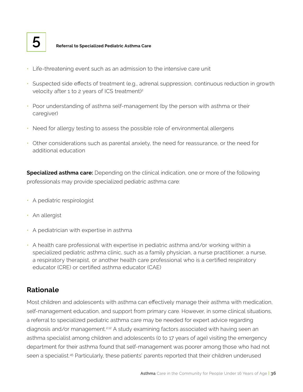

# **5 Referral to Specialized Pediatric Asthma Care**

- Life-threatening event such as an admission to the intensive care unit
- Suspected side effects of treatment (e.g., adrenal suppression, continuous reduction in growth velocity after 1 to 2 years of ICS treatment)<sup>2</sup>
- Poor understanding of asthma self-management (by the person with asthma or their caregiver)
- Need for allergy testing to assess the possible role of environmental allergens
- Other considerations such as parental anxiety, the need for reassurance, or the need for additional education

**Specialized asthma care:** Depending on the clinical indication, one or more of the following professionals may provide specialized pediatric asthma care:

- A pediatric respirologist
- An allergist
- A pediatrician with expertise in asthma
- A health care professional with expertise in pediatric asthma and/or working within a specialized pediatric asthma clinic, such as a family physician, a nurse practitioner, a nurse, a respiratory therapist, or another health care professional who is a certified respiratory educator (CRE) or certified asthma educator (CAE)

# **Rationale**

Most children and adolescents with asthma can effectively manage their asthma with medication, self-management education, and support from primary care. However, in some clinical situations, a referral to specialized pediatric asthma care may be needed for expert advice regarding diagnosis and/or management.<sup>2,12</sup> A study examining factors associated with having seen an asthma specialist among children and adolescents (0 to 17 years of age) visiting the emergency department for their asthma found that self-management was poorer among those who had not seen a specialist.<sup>45</sup> Particularly, these patients' parents reported that their children underused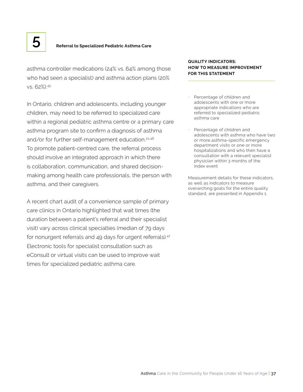asthma controller medications (24% vs. 64% among those who had seen a specialist) and asthma action plans (20% vs. 62%).45

In Ontario, children and adolescents, including younger children, may need to be referred to specialized care within a regional pediatric asthma centre or a primary care asthma program site to confirm a diagnosis of asthma and/or for further self-management education.<sup>23,46</sup> To promote patient-centred care, the referral process should involve an integrated approach in which there is collaboration, communication, and shared decisionmaking among health care professionals, the person with asthma, and their caregivers.

A recent chart audit of a convenience sample of primary care clinics in Ontario highlighted that wait times (the duration between a patient's referral and their specialist visit) vary across clinical specialties (median of 79 days for nonurgent referrals and 49 days for urgent referrals).<sup>47</sup> Electronic tools for specialist consultation such as eConsult or virtual visits can be used to improve wait times for specialized pediatric asthma care.

#### **QUALITY INDICATORS: HOW TO MEASURE IMPROVEMENT FOR THIS STATEMENT**

- Percentage of children and adolescents with one or more appropriate indications who are referred to specialized pediatric asthma care
- Percentage of children and adolescents with asthma who have two or more asthma-specific emergency department visits or one or more hospitalizations and who then have a consultation with a relevant specialist physician within 3 months of the index event

Measurement details for these indicators, as well as indicators to measure overarching goals for the entire quality standard, are presented in Appendix 1.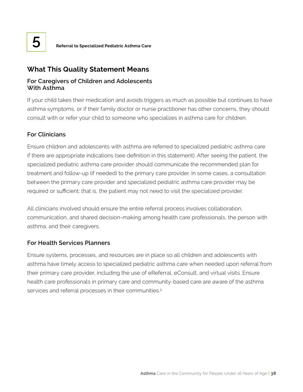

# **What This Quality Statement Means**

# **For Caregivers of Children and Adolescents With Asthma**

If your child takes their medication and avoids triggers as much as possible but continues to have asthma symptoms, or if their family doctor or nurse practitioner has other concerns, they should consult with or refer your child to someone who specializes in asthma care for children.

# **For Clinicians**

Ensure children and adolescents with asthma are referred to specialized pediatric asthma care if there are appropriate indications (see definition in this statement). After seeing the patient, the specialized pediatric asthma care provider should communicate the recommended plan for treatment and follow-up (if needed) to the primary care provider. In some cases, a consultation between the primary care provider and specialized pediatric asthma care provider may be required or sufficient; that is, the patient may not need to visit the specialized provider.

All clinicians involved should ensure the entire referral process involves collaboration, communication, and shared decision-making among health care professionals, the person with asthma, and their caregivers.

# **For Health Services Planners**

Ensure systems, processes, and resources are in place so all children and adolescents with asthma have timely access to specialized pediatric asthma care when needed upon referral from their primary care provider, including the use of eReferral, eConsult, and virtual visits. Ensure health care professionals in primary care and community-based care are aware of the asthma services and referral processes in their communities.<sup>5</sup>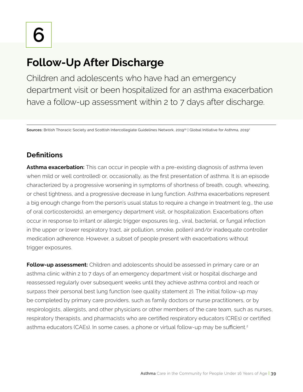# **Follow-Up After Discharge**

Children and adolescents who have had an emergency department visit or been hospitalized for an asthma exacerbation have a follow-up assessment within 2 to 7 days after discharge.

Sources: British Thoracic Society and Scottish Intercollegiate Guidelines Network, 2019<sup>19</sup> | Global Initiative for Asthma, 2019<sup>2</sup>

# **Definitions**

**Asthma exacerbation:** This can occur in people with a pre-existing diagnosis of asthma (even when mild or well controlled) or, occasionally, as the first presentation of asthma. It is an episode characterized by a progressive worsening in symptoms of shortness of breath, cough, wheezing, or chest tightness, and a progressive decrease in lung function. Asthma exacerbations represent a big enough change from the person's usual status to require a change in treatment (e.g., the use of oral corticosteroids), an emergency department visit, or hospitalization. Exacerbations often occur in response to irritant or allergic trigger exposures (e.g., viral, bacterial, or fungal infection in the upper or lower respiratory tract, air pollution, smoke, pollen) and/or inadequate controller medication adherence. However, a subset of people present with exacerbations without trigger exposures.

**Follow-up assessment:** Children and adolescents should be assessed in primary care or an asthma clinic within 2 to 7 days of an emergency department visit or hospital discharge and reassessed regularly over subsequent weeks until they achieve asthma control and reach or surpass their personal best lung function (see quality statement 2). The initial follow-up may be completed by primary care providers, such as family doctors or nurse practitioners, or by respirologists, allergists, and other physicians or other members of the care team, such as nurses, respiratory therapists, and pharmacists who are certified respiratory educators (CREs) or certified asthma educators (CAEs). In some cases, a phone or virtual follow-up may be sufficient.<sup>2</sup>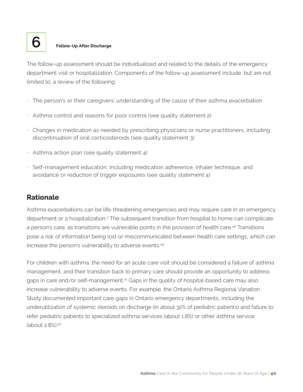

# **6 Follow-Up After Discharge**

The follow-up assessment should be individualized and related to the details of the emergency department visit or hospitalization. Components of the follow-up assessment include, but are not limited to, a review of the following:

- The person's or their caregivers' understanding of the cause of their asthma exacerbation
- Asthma control and reasons for poor control (see quality statement 2)
- Changes in medication as needed by prescribing physicians or nurse practitioners, including discontinuation of oral corticosteroids (see quality statement 3)
- Asthma action plan (see quality statement 4)
- Self-management education, including medication adherence, inhaler technique, and avoidance or reduction of trigger exposures (see quality statement 4)

# **Rationale**

Asthma exacerbations can be life-threatening emergencies and may require care in an emergency department or a hospitalization.<sup>2</sup> The subsequent transition from hospital to home can complicate a person's care, as transitions are vulnerable points in the provision of health care.48 Transitions pose a risk of information being lost or miscommunicated between health care settings, which can increase the person's vulnerability to adverse events.49

For children with asthma, the need for an acute care visit should be considered a failure of asthma management, and their transition back to primary care should provide an opportunity to address gaps in care and/or self-management.10 Gaps in the quality of hospital-based care may also increase vulnerability to adverse events. For example, the Ontario Asthma Regional Variation Study documented important care gaps in Ontario emergency departments, including the underutilization of systemic steroids on discharge (in about 32% of pediatric patients) and failure to refer pediatric patients to specialized asthma services (about 1.8%) or other asthma service (about 2.8%).50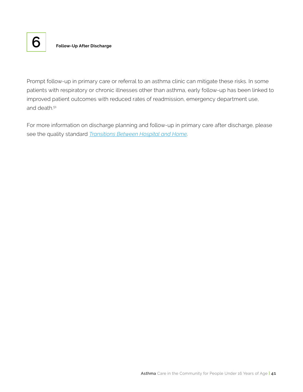

Prompt follow-up in primary care or referral to an asthma clinic can mitigate these risks. In some patients with respiratory or chronic illnesses other than asthma, early follow-up has been linked to improved patient outcomes with reduced rates of readmission, emergency department use, and death.<sup>51</sup>

For more information on discharge planning and follow-up in primary care after discharge, please see the quality standard *[Transitions Between Hospital and Home](https://hqontario.ca/evidence-to-improve-care/quality-standards/view-all-quality-standards/transitions-between-hospital-and-home)*.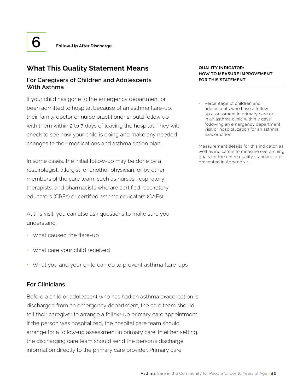

# **What This Quality Statement Means**

# **For Caregivers of Children and Adolescents With Asthma**

If your child has gone to the emergency department or been admitted to hospital because of an asthma flare-up, their family doctor or nurse practitioner should follow up with them within 2 to 7 days of leaving the hospital. They will check to see how your child is doing and make any needed changes to their medications and asthma action plan.

In some cases, the initial follow-up may be done by a respirologist, allergist, or another physician, or by other members of the care team, such as nurses, respiratory therapists, and pharmacists who are certified respiratory educators (CREs) or certified asthma educators (CAEs).

At this visit, you can also ask questions to make sure you understand:

- What caused the flare-up
- What care your child received
- What you and your child can do to prevent asthma flare-ups

# **For Clinicians**

Before a child or adolescent who has had an asthma exacerbation is discharged from an emergency department, the care team should tell their caregiver to arrange a follow-up primary care appointment. If the person was hospitalized, the hospital care team should arrange for a follow-up assessment in primary care. In either setting, the discharging care team should send the person's discharge information directly to the primary care provider. Primary care

#### **QUALITY INDICATOR: HOW TO MEASURE IMPROVEMENT FOR THIS STATEMENT**

• Percentage of children and adolescents who have a followup assessment in primary care or in an asthma clinic within 7 days following an emergency department visit or hospitalization for an asthma exacerbation

Measurement details for this indicator, as well as indicators to measure overarching goals for the entire quality standard, are presented in Appendix 1.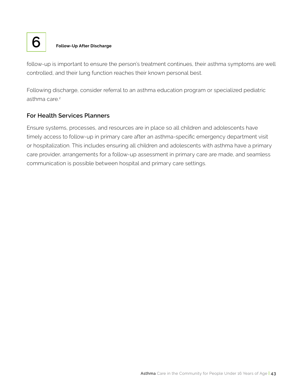

# **6 Follow-Up After Discharge**

follow-up is important to ensure the person's treatment continues, their asthma symptoms are well controlled, and their lung function reaches their known personal best.

Following discharge, consider referral to an asthma education program or specialized pediatric asthma care.<sup>2</sup>

## **For Health Services Planners**

Ensure systems, processes, and resources are in place so all children and adolescents have timely access to follow-up in primary care after an asthma-specific emergency department visit or hospitalization. This includes ensuring all children and adolescents with asthma have a primary care provider, arrangements for a follow-up assessment in primary care are made, and seamless communication is possible between hospital and primary care settings.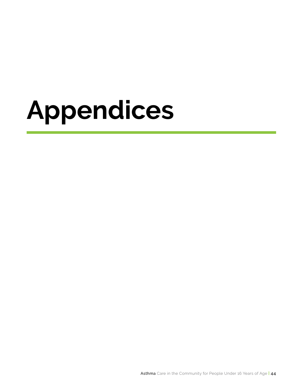# **Appendices**

Asthma Care in the Community for People Under 16 Years of Age **| 44**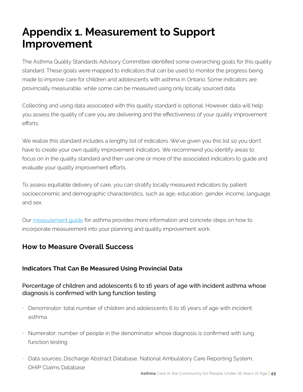# **Appendix 1. Measurement to Support Improvement**

The Asthma Quality Standards Advisory Committee identified some overarching goals for this quality standard. These goals were mapped to indicators that can be used to monitor the progress being made to improve care for children and adolescents with asthma in Ontario. Some indicators are provincially measurable, while some can be measured using only locally sourced data.

Collecting and using data associated with this quality standard is optional. However, data will help you assess the quality of care you are delivering and the effectiveness of your quality improvement efforts.

We realize this standard includes a lengthy list of indicators. We've given you this list so you don't have to create your own quality improvement indicators. We recommend you identify areas to focus on in the quality standard and then use one or more of the associated indicators to guide and evaluate your quality improvement efforts.

To assess equitable delivery of care, you can stratify locally measured indicators by patient socioeconomic and demographic characteristics, such as age, education, gender, income, language, and sex.

Our [measurement guide](https://www.hqontario.ca/evidence-to-improve-care/quality-standards/view-all-quality-standards/asthma-in-children-and-adolescents) for asthma provides more information and concrete steps on how to incorporate measurement into your planning and quality improvement work.

# **How to Measure Overall Success**

# **Indicators That Can Be Measured Using Provincial Data**

# Percentage of children and adolescents 6 to 16 years of age with incident asthma whose diagnosis is confirmed with lung function testing

- Denominator: total number of children and adolescents 6 to 16 years of age with incident asthma
- Numerator: number of people in the denominator whose diagnosis is confirmed with lung function testing
- Data sources: Discharge Abstract Database, National Ambulatory Care Reporting System, OHIP Claims Database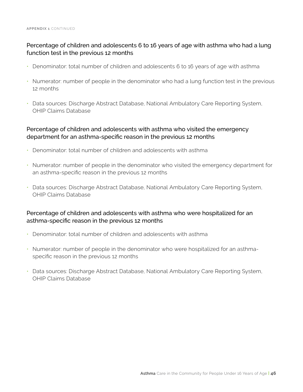# Percentage of children and adolescents 6 to 16 years of age with asthma who had a lung function test in the previous 12 months

- Denominator: total number of children and adolescents 6 to 16 years of age with asthma
- Numerator: number of people in the denominator who had a lung function test in the previous 12 months
- Data sources: Discharge Abstract Database, National Ambulatory Care Reporting System, OHIP Claims Database

## Percentage of children and adolescents with asthma who visited the emergency department for an asthma-specific reason in the previous 12 months

- Denominator: total number of children and adolescents with asthma
- Numerator: number of people in the denominator who visited the emergency department for an asthma-specific reason in the previous 12 months
- Data sources: Discharge Abstract Database, National Ambulatory Care Reporting System, OHIP Claims Database

## Percentage of children and adolescents with asthma who were hospitalized for an asthma-specific reason in the previous 12 months

- Denominator: total number of children and adolescents with asthma
- Numerator: number of people in the denominator who were hospitalized for an asthmaspecific reason in the previous 12 months
- Data sources: Discharge Abstract Database, National Ambulatory Care Reporting System, OHIP Claims Database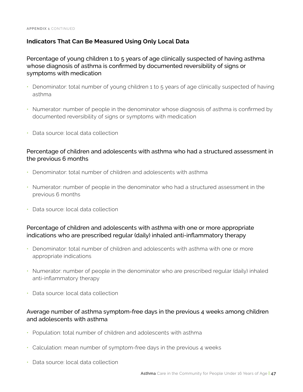# **Indicators That Can Be Measured Using Only Local Data**

Percentage of young children 1 to 5 years of age clinically suspected of having asthma whose diagnosis of asthma is confirmed by documented reversibility of signs or symptoms with medication

- Denominator: total number of young children 1 to 5 years of age clinically suspected of having asthma
- Numerator: number of people in the denominator whose diagnosis of asthma is confirmed by documented reversibility of signs or symptoms with medication
- Data source: local data collection

## Percentage of children and adolescents with asthma who had a structured assessment in the previous 6 months

- Denominator: total number of children and adolescents with asthma
- Numerator: number of people in the denominator who had a structured assessment in the previous 6 months
- Data source: local data collection

## Percentage of children and adolescents with asthma with one or more appropriate indications who are prescribed regular (daily) inhaled anti-inflammatory therapy

- Denominator: total number of children and adolescents with asthma with one or more appropriate indications
- Numerator: number of people in the denominator who are prescribed regular (daily) inhaled anti-inflammatory therapy
- Data source: local data collection

# Average number of asthma symptom-free days in the previous 4 weeks among children and adolescents with asthma

- Population: total number of children and adolescents with asthma
- Calculation: mean number of symptom-free days in the previous 4 weeks
- Data source: local data collection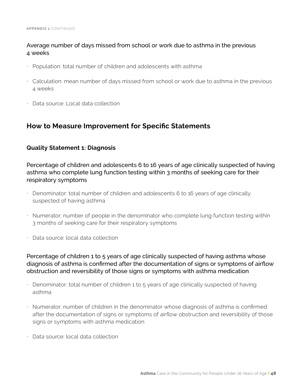# Average number of days missed from school or work due to asthma in the previous 4 weeks

- Population: total number of children and adolescents with asthma
- Calculation: mean number of days missed from school or work due to asthma in the previous 4 weeks
- Data source: Local data collection

# **How to Measure Improvement for Specific Statements**

## **Quality Statement 1: Diagnosis**

Percentage of children and adolescents 6 to 16 years of age clinically suspected of having asthma who complete lung function testing within 3 months of seeking care for their respiratory symptoms

- Denominator: total number of children and adolescents 6 to 16 years of age clinically suspected of having asthma
- Numerator: number of people in the denominator who complete lung function testing within 3 months of seeking care for their respiratory symptoms
- Data source: local data collection

Percentage of children 1 to 5 years of age clinically suspected of having asthma whose diagnosis of asthma is confirmed after the documentation of signs or symptoms of airflow obstruction and reversibility of those signs or symptoms with asthma medication

- Denominator: total number of children 1 to 5 years of age clinically suspected of having asthma
- Numerator: number of children in the denominator whose diagnosis of asthma is confirmed after the documentation of signs or symptoms of airflow obstruction and reversibility of those signs or symptoms with asthma medication
- Data source: local data collection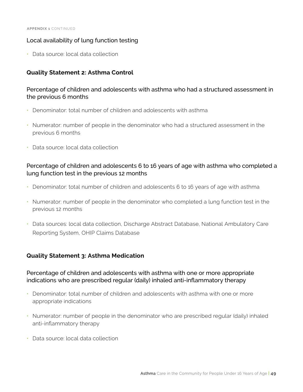### Local availability of lung function testing

• Data source: local data collection

### **Quality Statement 2: Asthma Control**

## Percentage of children and adolescents with asthma who had a structured assessment in the previous 6 months

- Denominator: total number of children and adolescents with asthma
- Numerator: number of people in the denominator who had a structured assessment in the previous 6 months
- Data source: local data collection

## Percentage of children and adolescents 6 to 16 years of age with asthma who completed a lung function test in the previous 12 months

- Denominator: total number of children and adolescents 6 to 16 years of age with asthma
- Numerator: number of people in the denominator who completed a lung function test in the previous 12 months
- Data sources: local data collection, Discharge Abstract Database, National Ambulatory Care Reporting System, OHIP Claims Database

### **Quality Statement 3: Asthma Medication**

## Percentage of children and adolescents with asthma with one or more appropriate indications who are prescribed regular (daily) inhaled anti-inflammatory therapy

- Denominator: total number of children and adolescents with asthma with one or more appropriate indications
- Numerator: number of people in the denominator who are prescribed regular (daily) inhaled anti-inflammatory therapy
- Data source: local data collection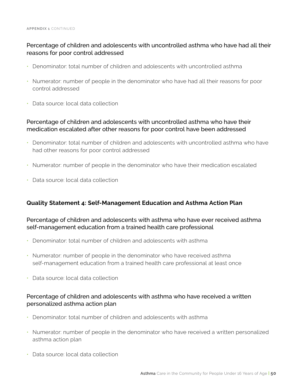# Percentage of children and adolescents with uncontrolled asthma who have had all their reasons for poor control addressed

- Denominator: total number of children and adolescents with uncontrolled asthma
- Numerator: number of people in the denominator who have had all their reasons for poor control addressed
- Data source: local data collection

# Percentage of children and adolescents with uncontrolled asthma who have their medication escalated after other reasons for poor control have been addressed

- Denominator: total number of children and adolescents with uncontrolled asthma who have had other reasons for poor control addressed
- Numerator: number of people in the denominator who have their medication escalated
- Data source: local data collection

# **Quality Statement 4: Self-Management Education and Asthma Action Plan**

### Percentage of children and adolescents with asthma who have ever received asthma self-management education from a trained health care professional

- Denominator: total number of children and adolescents with asthma
- Numerator: number of people in the denominator who have received asthma self-management education from a trained health care professional at least once
- Data source: local data collection

## Percentage of children and adolescents with asthma who have received a written personalized asthma action plan

- Denominator: total number of children and adolescents with asthma
- Numerator: number of people in the denominator who have received a written personalized asthma action plan
- Data source: local data collection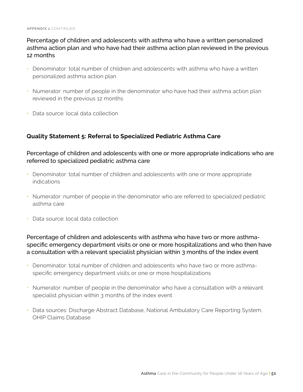# Percentage of children and adolescents with asthma who have a written personalized asthma action plan and who have had their asthma action plan reviewed in the previous 12 months

- Denominator: total number of children and adolescents with asthma who have a written personalized asthma action plan
- Numerator: number of people in the denominator who have had their asthma action plan reviewed in the previous 12 months
- Data source: local data collection

# **Quality Statement 5: Referral to Specialized Pediatric Asthma Care**

## Percentage of children and adolescents with one or more appropriate indications who are referred to specialized pediatric asthma care

- Denominator: total number of children and adolescents with one or more appropriate indications
- Numerator: number of people in the denominator who are referred to specialized pediatric asthma care
- Data source: local data collection

Percentage of children and adolescents with asthma who have two or more asthmaspecific emergency department visits or one or more hospitalizations and who then have a consultation with a relevant specialist physician within 3 months of the index event

- Denominator: total number of children and adolescents who have two or more asthmaspecific emergency department visits or one or more hospitalizations
- Numerator: number of people in the denominator who have a consultation with a relevant specialist physician within 3 months of the index event
- Data sources: Discharge Abstract Database, National Ambulatory Care Reporting System, OHIP Claims Database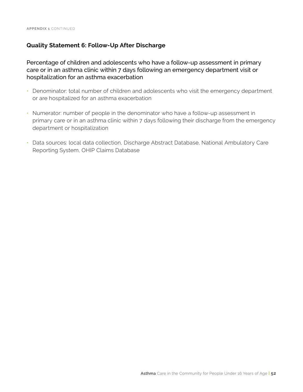## **Quality Statement 6: Follow-Up After Discharge**

Percentage of children and adolescents who have a follow-up assessment in primary care or in an asthma clinic within 7 days following an emergency department visit or hospitalization for an asthma exacerbation

- Denominator: total number of children and adolescents who visit the emergency department or are hospitalized for an asthma exacerbation
- Numerator: number of people in the denominator who have a follow-up assessment in primary care or in an asthma clinic within 7 days following their discharge from the emergency department or hospitalization
- Data sources: local data collection, Discharge Abstract Database, National Ambulatory Care Reporting System, OHIP Claims Database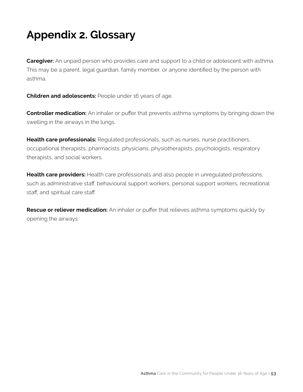# **Appendix 2. Glossary**

**Caregiver:** An unpaid person who provides care and support to a child or adolescent with asthma. This may be a parent, legal guardian, family member, or anyone identified by the person with asthma.

**Children and adolescents:** People under 16 years of age.

**Controller medication:** An inhaler or puffer that prevents asthma symptoms by bringing down the swelling in the airways in the lungs.

**Health care professionals:** Requlated professionals, such as nurses, nurse practitioners, occupational therapists, pharmacists, physicians, physiotherapists, psychologists, respiratory therapists, and social workers.

**Health care providers:** Health care professionals and also people in unregulated professions, such as administrative staff, behavioural support workers, personal support workers, recreational staff, and spiritual care staff.

**Rescue or reliever medication:** An inhaler or puffer that relieves asthma symptoms quickly by opening the airways.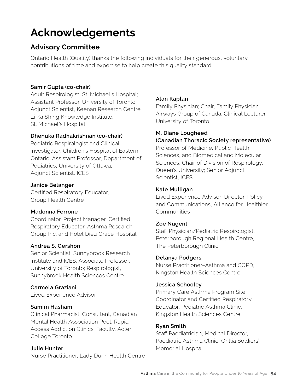# **Acknowledgements**

# **Advisory Committee**

Ontario Health (Quality) thanks the following individuals for their generous, voluntary contributions of time and expertise to help create this quality standard:

## **Samir Gupta (co-chair)**

Adult Respirologist, St. Michael's Hospital; Assistant Professor, University of Toronto; Adjunct Scientist, Keenan Research Centre, Li Ka Shing Knowledge Institute, St. Michael's Hospital

## **Dhenuka Radhakrishnan (co-chair)**

Pediatric Respirologist and Clinical Investigator, Children's Hospital of Eastern Ontario; Assistant Professor, Department of Pediatrics, University of Ottawa; Adjunct Scientist, ICES

## **Janice Belanger**

Certified Respiratory Educator, Group Health Centre

### **Madonna Ferrone**

Coordinator, Project Manager, Certified Respiratory Educator, Asthma Research Group Inc. and Hôtel Dieu Grace Hospital

### **Andrea S. Gershon**

Senior Scientist, Sunnybrook Research Institute and ICES; Associate Professor, University of Toronto; Respirologist, Sunnybrook Health Sciences Centre

# **Carmela Graziani**

Lived Experience Advisor

### **Samim Hasham**

Clinical Pharmacist; Consultant, Canadian Mental Health Association Peel, Rapid Access Addiction Clinics; Faculty, Adler College Toronto

### **Julie Hunter**

Nurse Practitioner, Lady Dunn Health Centre

# **Alan Kaplan**

Family Physician; Chair, Family Physician Airways Group of Canada; Clinical Lecturer, University of Toronto

# **M. Diane Lougheed**

### **(Canadian Thoracic Society representative)**

Professor of Medicine, Public Health Sciences, and Biomedical and Molecular Sciences, Chair of Division of Respirology, Queen's University; Senior Adjunct Scientist, ICES

### **Kate Mulligan**

Lived Experience Advisor; Director, Policy and Communications, Alliance for Healthier **Communities** 

### **Zoe Nugent**

Staff Physician/Pediatric Respirologist, Peterborough Regional Health Centre, The Peterborough Clinic

### **Delanya Podgers**

Nurse Practitioner–Asthma and COPD, Kingston Health Sciences Centre

#### **Jessica Schooley**

Primary Care Asthma Program Site Coordinator and Certified Respiratory Educator, Pediatric Asthma Clinic, Kingston Health Sciences Centre

### **Ryan Smith**

Staff Paediatrician, Medical Director, Paediatric Asthma Clinic, Orillia Soldiers' Memorial Hospital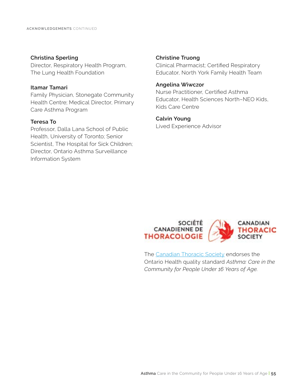#### **Christina Sperling**

Director, Respiratory Health Program, The Lung Health Foundation

#### **Itamar Tamari**

Family Physician, Stonegate Community Health Centre; Medical Director, Primary Care Asthma Program

#### **Teresa To**

Professor, Dalla Lana School of Public Health, University of Toronto; Senior Scientist, The Hospital for Sick Children; Director, Ontario Asthma Surveillance Information System

#### **Christine Truong**

Clinical Pharmacist; Certified Respiratory Educator, North York Family Health Team

#### **Angelina Wiwczor**

Nurse Practitioner, Certified Asthma Educator, Health Sciences North–NEO Kids, Kids Care Centre

#### **Calvin Young**

Lived Experience Advisor



The [Canadian Thoracic Society](https://cts-sct.ca) endorses the Ontario Health quality standard *Asthma: Care in the Community for People Under 16 Years of Age.*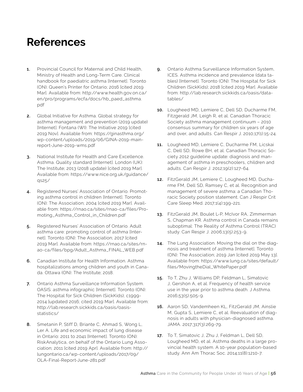# **References**

- **1.** Provincial Council for Maternal and Child Health, Ministry of Health and Long-Term Care. Clinical handbook for paediatric asthma [Internet]. Toronto (ON): Queen's Printer for Ontario; 2016 [cited 2019 Mar]. Available from: http://www.health.gov.on.ca/ en/pro/programs/ecfa/docs/hb\_paed\_asthma. pdf
- **2.** Global Initiative for Asthma. Global strategy for asthma management and prevention (2019 update) [Internet]. Fontana (WI): The Initiative 2019 [cited 2019 Nov]. Available from: https://ginasthma.org/ wp-content/uploads/2019/06/GINA-2019-mainreport-June-2019-wms.pdf
- **3.** National Institute for Health and Care Excellence. Asthma. Quality standard [Internet]. London (UK): The Institute; 2013 (2018 update) [cited 2019 Mar]. Available from: https://www.nice.org.uk/guidance/ qs25/
- **4.** Registered Nurses' Association of Ontario. Promoting asthma control in children [Internet]. Toronto (ON): The Association; 2004 [cited 2019 Mar]. Available from: https://rnao.ca/sites/rnao-ca/files/Promoting\_Asthma\_Control\_in\_Children.pdf
- **5.** Registered Nurses' Association of Ontario. Adult asthma care: promoting control of asthma [Internet]. Toronto (ON): The Association; 2017 [cited 2019 Mar]. Available from: https://rnao.ca/sites/rnao-ca/files/bpg/Adult\_Asthma\_FINAL\_WEB.pdf
- **6.** Canadian Institute for Health Information. Asthma hospitalizations among children and youth in Canada. Ottawa (ON): The Institute; 2018.
- **7.** Ontario Asthma Surveillance Information System. OASIS: asthma infographic [Internet]. Toronto (ON): The Hospital for Sick Children (SickKids); c1999- 2014 [updated 2016; cited 2019 Mar]. Available from: http://lab.research.sickkids.ca/oasis/oasisstatistics/
- **8.** Smetanin P, Stiff D, Briante C, Ahmad S, Wong L, Ler A. Life and economic impact of lung disease in Ontario: 2011 to 2041 [Internet]. Toronto (ON): RiskAnalytica, on behalf of the Ontario Lung Association; 2011 [cited 2019 Apr]. Available from: http:// lungontario.ca/wp-content/uploads/2017/09/ OLA-Final-Report-June-281.pdf
- **9.** Ontario Asthma Surveillance Information System, ICES. Asthma incidence and prevalence (data tables) [Internet]. Toronto (ON): The Hospital for Sick Children (SickKids); 2018 [cited 2019 Mar]. Available from: http://lab.research.sickkids.ca/oasis/datatables/
- **10.** Lougheed MD, Lemiere C, Dell SD, Ducharme FM, Fitzgerald JM, Leigh R, et al. Canadian Thoracic Society asthma management continuum – 2010 consensus summary for children six years of age and over, and adults. Can Respir J. 2010;17(1):15-24.
- **11.** Lougheed MD, Lemiere C, Ducharme FM, Licskai C, Dell SD, Rowe BH, et al. Canadian Thoracic Society 2012 guideline update: diagnosis and management of asthma in preschoolers, children and adults. Can Respir J. 2012;19(2):127-64.
- **12.** FitzGerald JM, Lemiere C, Lougheed MD, Ducharme FM, Dell SD, Ramsey C, et al. Recognition and management of severe asthma: a Canadian Thoracic Society position statement. Can J Respir Crit Care Sleep Med. 2017;1(4):199-221.
- **13.** FitzGerald JM, Boulet L-P, McIvor RA, Zimmerman S, Chapman KR. Asthma control in Canada remains suboptimal: The Reality of Asthma Control (TRAC) study. Can Respir J. 2006;13(5):253-9.
- **14.** The Lung Association. Moving the dial on the diagnosis and treatment of asthma [Internet]. Toronto (ON): The Association; 2019 Jan [cited 2019 May 13]. Available from: https://www.lung.ca/sites/default/ files/MovingtheDial\_WhitePaper.pdf
- **15.** To T, Zhu J, Williams DP, Feldman L, Simatovic J, Gershon A, et al. Frequency of health service use in the year prior to asthma death. J Asthma. 2016;53(5):505-9.
- **16.** Aaron SD, Vandemheen KL, FitzGerald JM, Ainslie M, Gupta S, Lemiere C, et al. Reevaluation of diagnosis in adults with physician-diagnosed asthma. JAMA. 2017;317(3):269-79.
- **17.** To T, Simatovic J, Zhu J, Feldman L, Dell SD, Lougheed MD, et al. Asthma deaths in a large provincial health system. A 10-year population-based study. Ann Am Thorac Soc. 2014;11(8):1210-7.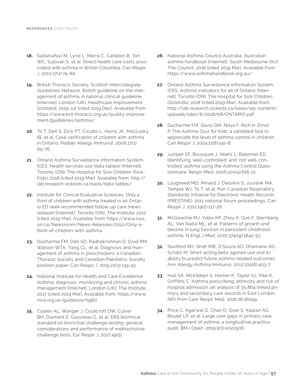- **18.** Sadatsafavi M, Lynd L, Marra C, Carleton B, Tan WC, Sullivan S, et al. Direct health care costs associated with asthma in British Columbia. Can Respir J. 2010;17(2):74-80.
- **19.** British Thoracic Society, Scottish Intercollegiate Guidelines Network. British guideline on the management of asthma. A national clinical guideline [Internet]. London (UK): Healthcare Improvement Scotland; 2019 Jul [cited 2019 Dec]. Available from: https://www.brit-thoracic.org.uk/quality-improvement/guidelines/asthma/
- **20.** To T, Dell S, Dick PT, Cicutto L, Harris JK, MacLusky IB, et al. Case verification of children with asthma in Ontario. Pediatr Allergy Immunol. 2006;17(1): 69-76.
- **21.** Ontario Asthma Surveillance Information System, ICES. Health services use (data tables) [Internet]. Toronto (ON): The Hospital for Sick Children (Sick-Kids); 2018 [cited 2019 Mar]. Available from: http:// lab.research.sickkids.ca/oasis/data-tables/
- **22.** Institute for Clinical Evaluative Sciences. Only a third of children with asthma treated in an Ontario ED seek recommended follow-up care (news release) [Internet]. Toronto (ON): The Institute; 2012 [cited 2019 Mar]. Available from: https://www.ices. on.ca/Newsroom/News-Releases/2012/Only-athird-of-children-with-asthma
- **23.** Ducharme FM, Dell SD, Radhakrishnan D, Grad RM, Watson WTA, Yang CL, et al. Diagnosis and management of asthma in preschoolers: a Canadian Thoracic Society and Canadian Paediatric Society position paper. Can Respir J. 2015;22(3):135-43.
- **24.** National Institute for Health and Care Excellence. Asthma: diagnosis, monitoring and chronic asthma management [Internet]. London (UK): The Institute; 2017 [cited 2019 Mar]. Available from: https://www. nice.org.uk/guidance/ng80
- **25.** Coates AL, Wanger J, Cockcroft DW, Culver BH, Diamant Z, Gauvreau G, et al. ERS technical standard on bronchial challenge testing: general considerations and performance of methacholine challenge tests. Eur Respir J. 2017;49(5).
- **26.** National Asthma Council Australia. Australian asthma handbook [Internet]. South Melbourne (AU): The Council; 2016 [cited 2019 Mar]. Available from: https://www.asthmahandbook.org.au/
- **27.** Ontario Asthma Surveillance Information System, ICES. Asthma indicators for all of Ontario [Internet]. Toronto (ON): The Hospital for Sick Children (SickKids); 2018 [cited 2019 Mar]. Available from: http://lab.research.sickkids.ca/oasis/wp-content/ uploads/sites/6/2018/08/ONTARIO.pdf
- **28.** Ducharme FM, Davis GM, Noya F, Rich H, Ernst P. The Asthma Quiz for Kidz: a validated tool to appreciate the level of asthma control in children. Can Respir J. 2004;11(8):541-6.
- **29.** Juniper EF, Bousquet J, Abetz L, Bateman ED. Identifying 'well-controlled' and 'not well-controlled' asthma using the Asthma Control Questionnaire. Respir Med. 2006;100(4):616-21.
- **30.** Lougheed MD, Minard J, Dworkin S, Juurlink MA, Temple WJ, To T, et al. Pan-Canadian Respiratory Standards Initiative for Electronic Health Records (PRESTINE): 2011 national forum proceedings. Can Respir J. 2012;19(2):117-26.
- **31.** McGeachie MJ, Yates KP, Zhou X, Guo F, Sternberg AL, Van Natta ML, et al. Patterns of growth and decline in lung function in persistent childhood asthma. N Engl J Med. 2016;374(19):1842-52.
- **32.** Stanford RH, Shah MB, D'Souza AO, Dhamane AD, Schatz M. Short-acting beta-agonist use and its ability to predict future asthma-related outcomes. Ann Allergy Asthma Immunol. 2012;109(6):403-7.
- **33.** Hull SA, McKibben S, Homer K, Taylor SJ, Pike K, Griffiths C. Asthma prescribing, ethnicity and risk of hospital admission: an analysis of 35,864 linked primary and secondary care records in East London. NPJ Prim Care Respir Med. 2016;26:16049.
- **34.** Price C, Agarwal G, Chan D, Goel S, Kaplan AG, Boulet LP, et al. Large care gaps in primary care management of asthma: a longitudinal practice audit. BMJ Open. 2019;9(1):e022506.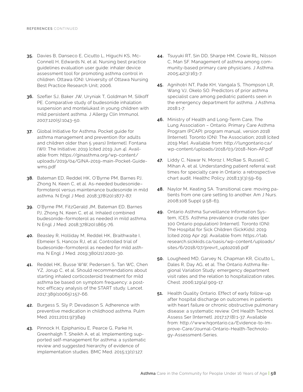- **35.** Davies B, Danseco E, Cicutto L, Higuchi KS, Mc-Connell H, Edwards N, et al. Nursing best practice guidelines evaluation user guide: inhaler device assessment tool for promoting asthma control in children. Ottawa (ON): University of Ottawa Nursing Best Practice Research Unit; 2006.
- **36.** Szefler SJ, Baker JW, Uryniak T, Goldman M, Silkoff PE. Comparative study of budesonide inhalation suspension and montelukast in young children with mild persistent asthma. J Allergy Clin Immunol. 2007;120(5):1043-50.
- **37.** Global Initiative for Asthma. Pocket guide for asthma management and prevention (for adults and children older than 5 years) [Internet]. Fontana (WI): The Initiative; 2019 [cited 2019 Jun 4]. Available from: https://ginasthma.org/wp-content/ uploads/2019/04/GINA-2019-main-Pocket-Guidewms.pdf
- **38.** Bateman ED, Reddel HK, O'Byrne PM, Barnes PJ, Zhong N, Keen C, et al. As-needed budesonide– formoterol versus maintenance budesonide in mild asthma. N Engl J Med. 2018;378(20):1877-87.
- **39.** O'Byrne PM, FitzGerald JM, Bateman ED, Barnes PJ, Zhong N, Keen C, et al. Inhaled combined budesonide–formoterol as needed in mild asthma. N Engl J Med. 2018;378(20):1865-76.
- **40.** Beasley R, Holliday M, Reddel HK, Braithwaite I, Ebmeier S, Hancox RJ, et al. Controlled trial of budesonide–formoterol as needed for mild asthma. N Engl J Med. 2019;380(21):2020-30.
- **41.** Reddel HK, Busse WW, Pedersen S, Tan WC, Chen YZ, Jorup C, et al. Should recommendations about starting inhaled corticosteroid treatment for mild asthma be based on symptom frequency: a posthoc efficacy analysis of the START study. Lancet. 2017;389(10065):157-66.
- **42.** Burgess S, Sly P, Devadason S. Adherence with preventive medication in childhood asthma. Pulm Med. 2011;2011:973849
- **43.** Pinnock H, Epiphaniou E, Pearce G, Parke H, Greenhalgh T, Sheikh A, et al. Implementing supported self-management for asthma: a systematic review and suggested hierarchy of evidence of implementation studies. BMC Med. 2015;13(1):127.
- **44.** Tsuyuki RT, Sin DD, Sharpe HM, Cowie RL, Nilsson C, Man SF. Management of asthma among community-based primary care physicians. J Asthma. 2005;42(3):163-7.
- **45.** Agnihotri NT, Pade KH, Vangala S, Thompson LR, Wang VJ, Okelo SO. Predictors of prior asthma specialist care among pediatric patients seen in the emergency department for asthma. J Asthma. 2018:1-7.
- **46.** Ministry of Health and Long-Term Care, The Lung Association – Ontario. Primary Care Asthma Program (PCAP): program manual, version 2018 [Internet]. Toronto (ON): The Association; 2018 [cited 2019 Mar]. Available from: http://lungontario.ca/ wp-content/uploads/2018/03/2018-Non-AP.pdf
- **47.** Liddy C, Nawar N, Moroz I, McRae S, Russell C, Mihan A, et al. Understanding patient referral wait times for specialty care in Ontario: a retrospective chart audit. Healthc Policy. 2018;13(3):59-69.
- **48.** Naylor M, Keating SA. Transitional care: moving patients from one care setting to another. Am J Nurs. 2008;108 Suppl 9:58-63.
- **49.** Ontario Asthma Surveillance Information System, ICES. Asthma prevalence crude rates (per 100 Ontario population) [Internet]. Toronto (ON): The Hospital for Sick Children (SickKids); 2019 [cited 2019 Apr 29]. Available from: https://lab. research.sickkids.ca/oasis/wp-content/uploads/ sites/6/2018/07/prevrt\_upto2016.pdf
- **50.** Lougheed MD, Garvey N, Chapman KR, Cicutto L, Dales R, Day AG, et al. The Ontario Asthma Regional Variation Study: emergency department visit rates and the relation to hospitalization rates. Chest. 2006;129(4):909-17.
- **51.** Health Quality Ontario. Effect of early follow-up after hospital discharge on outcomes in patients with heart failure or chronic obstructive pulmonary disease: a systematic review. Ont Health Technol Assess Ser [Internet]. 2017;17:(8):1-37. Available from: http://www.hqontario.ca/Evidence-to-Improve-Care/Journal-Ontario-Health-Technology-Assessment-Series.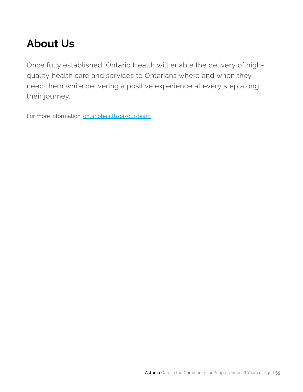# **About Us**

Once fully established, Ontario Health will enable the delivery of highquality health care and services to Ontarians where and when they need them while delivering a positive experience at every step along their journey.

For more information: [ontariohealth.ca/our-team](https://www.ontariohealth.ca/our-team)